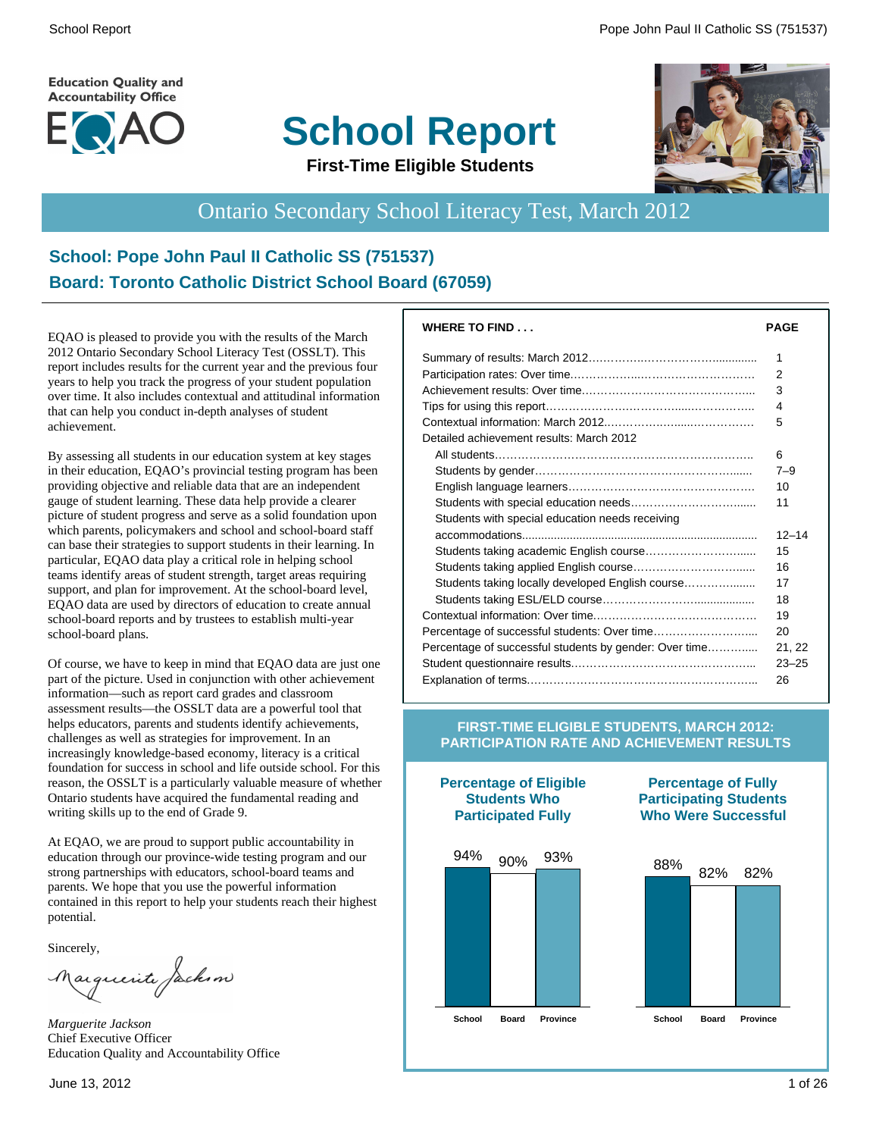**Education Quality and Accountability Office** 



# **School Report**



#### **First-Time Eligible Students**

# Ontario Secondary School Literacy Test, March 2012

#### **School: Pope John Paul II Catholic SS (751537) Board: Toronto Catholic District School Board (67059)**

EQAO is pleased to provide you with the results of the March 2012 Ontario Secondary School Literacy Test (OSSLT). This report includes results for the current year and the previous four years to help you track the progress of your student population over time. It also includes contextual and attitudinal information that can help you conduct in-depth analyses of student achievement.

By assessing all students in our education system at key stages in their education, EQAO's provincial testing program has been providing objective and reliable data that are an independent gauge of student learning. These data help provide a clearer picture of student progress and serve as a solid foundation upon which parents, policymakers and school and school-board staff can base their strategies to support students in their learning. In particular, EQAO data play a critical role in helping school teams identify areas of student strength, target areas requiring support, and plan for improvement. At the school-board level, EQAO data are used by directors of education to create annual school-board reports and by trustees to establish multi-year school-board plans.

Of course, we have to keep in mind that EQAO data are just one part of the picture. Used in conjunction with other achievement information—such as report card grades and classroom assessment results—the OSSLT data are a powerful tool that helps educators, parents and students identify achievements, challenges as well as strategies for improvement. In an increasingly knowledge-based economy, literacy is a critical foundation for success in school and life outside school. For this reason, the OSSLT is a particularly valuable measure of whether Ontario students have acquired the fundamental reading and writing skills up to the end of Grade 9.

At EQAO, we are proud to support public accountability in education through our province-wide testing program and our strong partnerships with educators, school-board teams and parents. We hope that you use the powerful information contained in this report to help your students reach their highest potential.

Sincerely,

Marguerite Jackson

*Marguerite Jackson* Chief Executive Officer Education Quality and Accountability Office

| <b>WHERE TO FIND</b>                                   | <b>PAGE</b> |
|--------------------------------------------------------|-------------|
|                                                        | 1           |
|                                                        | 2           |
|                                                        | 3           |
|                                                        | 4           |
|                                                        | 5           |
| Detailed achievement results: March 2012               |             |
|                                                        | 6           |
|                                                        | $7 - 9$     |
|                                                        | 10          |
|                                                        | 11          |
| Students with special education needs receiving        |             |
|                                                        | $12 - 14$   |
|                                                        | 15          |
|                                                        | 16          |
| Students taking locally developed English course       | 17          |
|                                                        | 18          |
|                                                        | 19          |
|                                                        | 20          |
| Percentage of successful students by gender: Over time | 21, 22      |
|                                                        | $23 - 25$   |
|                                                        | 26          |
|                                                        |             |

#### **FIRST-TIME ELIGIBLE STUDENTS, MARCH 2012: PARTICIPATION RATE AND ACHIEVEMENT RESULTS**

**Percentage of Eligible Students Who Participated Fully**



#### **Percentage of Fully Participating Students Who Were Successful**

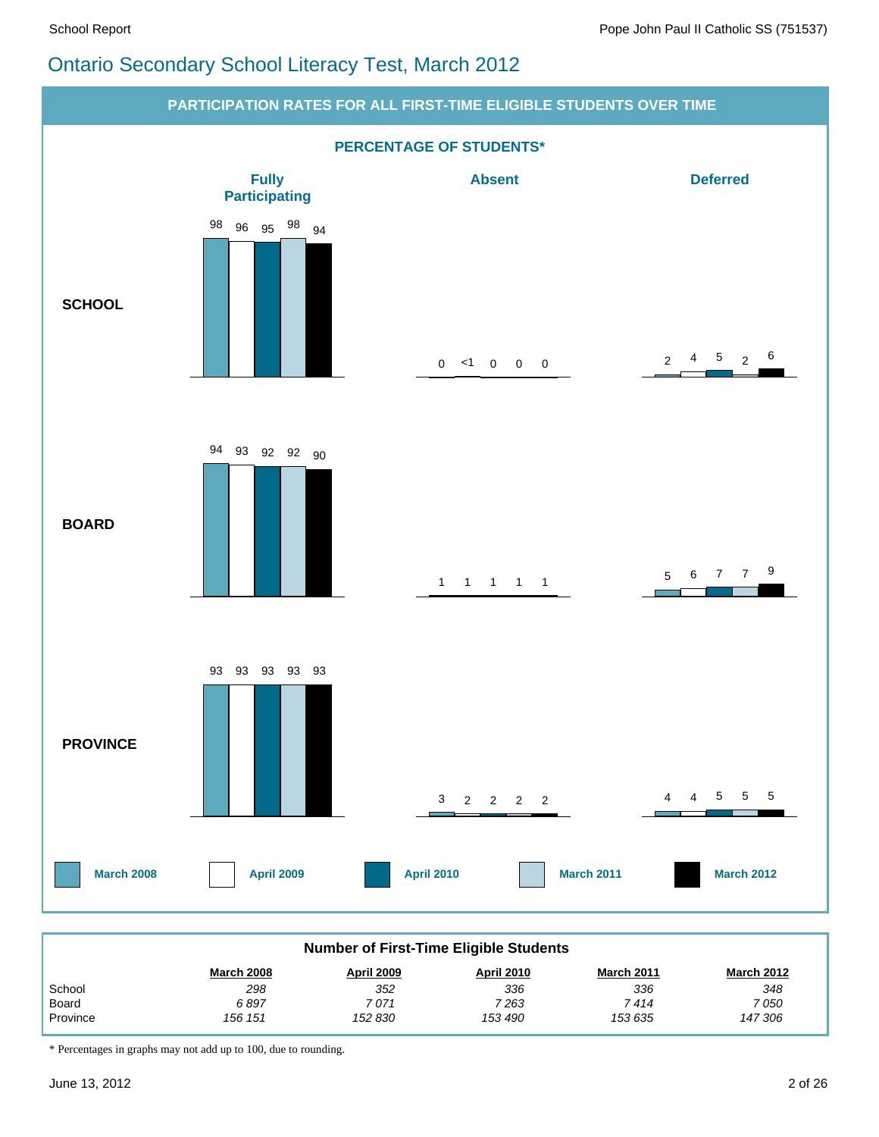# Ontario Secondary School Literacy Test, March 2012



| Number of First-Time Eliqible Students |                   |            |                   |                   |                   |  |  |  |  |
|----------------------------------------|-------------------|------------|-------------------|-------------------|-------------------|--|--|--|--|
|                                        | <b>March 2008</b> | April 2009 | <b>April 2010</b> | <b>March 2011</b> | <b>March 2012</b> |  |  |  |  |
| School                                 | 298               | 352        | 336               | 336               | 348               |  |  |  |  |
| Board                                  | 6 897             | 7 071      | 7 263             | 7 414             | 7 050             |  |  |  |  |
| Province                               | 156 151           | 152 830    | 153 490           | 153 635           | 147 306           |  |  |  |  |

\* Percentages in graphs may not add up to 100, due to rounding.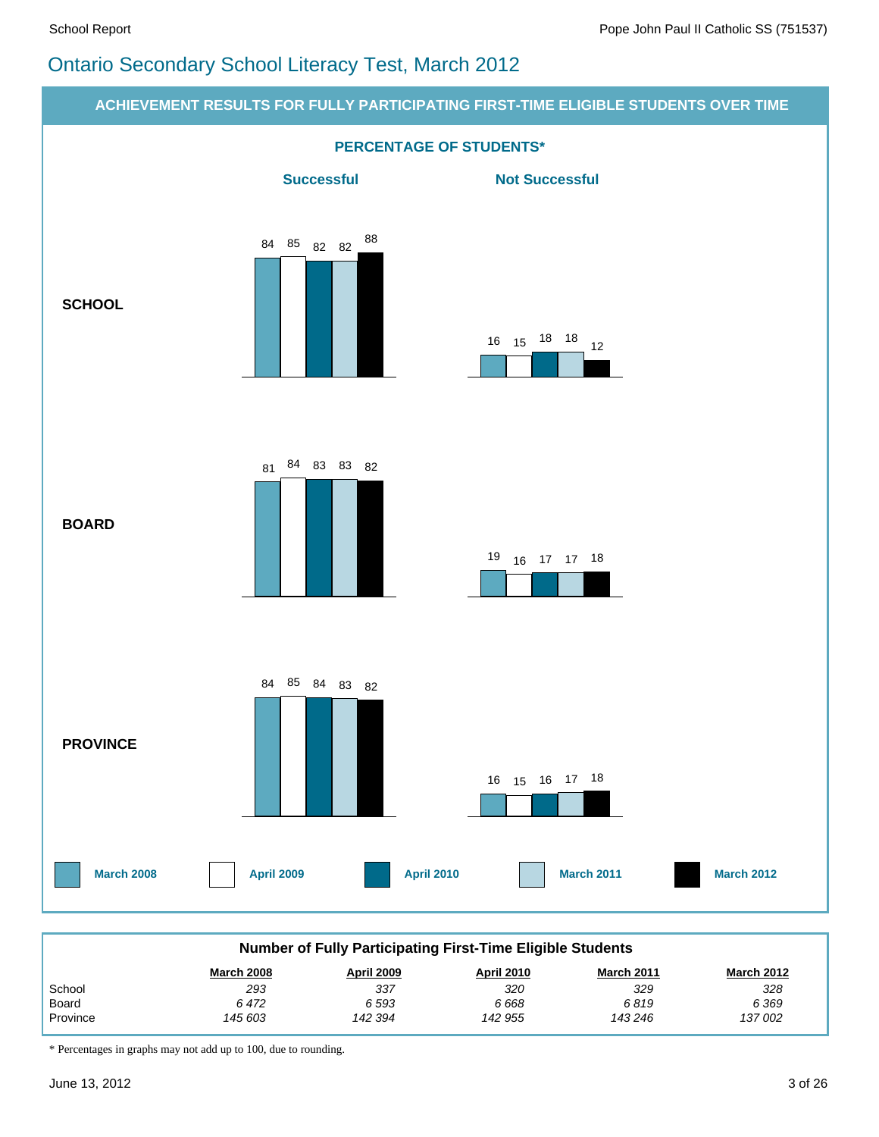# Ontario Secondary School Literacy Test, March 2012



\* Percentages in graphs may not add up to 100, due to rounding.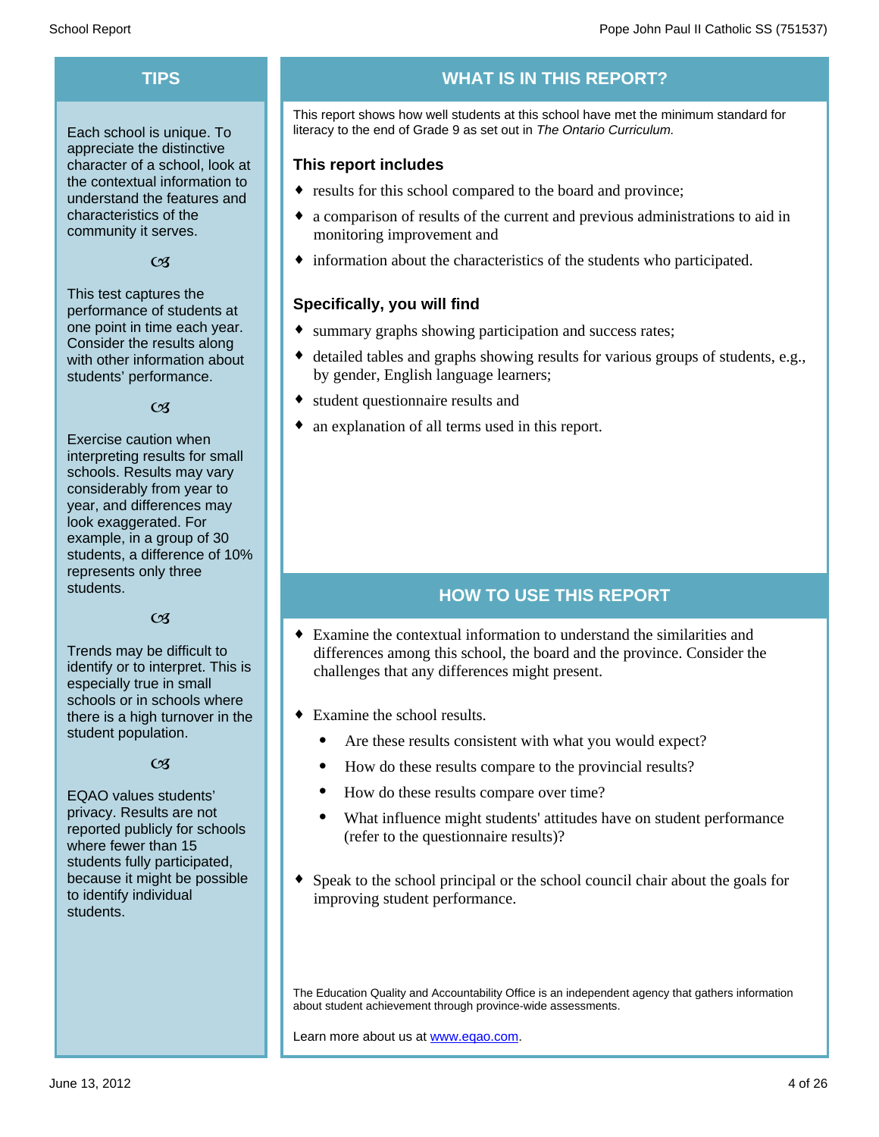Each school is unique. To appreciate the distinctive character of a school, look at the contextual information to understand the features and characteristics of the community it serves.

#### $C<sub>3</sub>$

This test captures the performance of students at one point in time each year. Consider the results along with other information about students' performance.

#### $\alpha$

Exercise caution when interpreting results for small schools. Results may vary considerably from year to year, and differences may look exaggerated. For example, in a group of 30 students, a difference of 10% represents only three students.

#### $C<sub>3</sub>$

Trends may be difficult to identify or to interpret. This is especially true in small schools or in schools where there is a high turnover in the student population.

#### $C<sub>3</sub>$

EQAO values students' privacy. Results are not reported publicly for schools where fewer than 15 students fully participated, because it might be possible to identify individual students.

# **TIPS WHAT IS IN THIS REPORT?**

This report shows how well students at this school have met the minimum standard for literacy to the end of Grade 9 as set out in *The Ontario Curriculum.*

#### **This report includes**

- results for this school compared to the board and province;
- a comparison of results of the current and previous administrations to aid in monitoring improvement and
- $\bullet$  information about the characteristics of the students who participated.

#### **Specifically, you will find**

- summary graphs showing participation and success rates;
- $\bullet$  detailed tables and graphs showing results for various groups of students, e.g., by gender, English language learners;
- student questionnaire results and
- an explanation of all terms used in this report.

#### **HOW TO USE THIS REPORT**

- $\bullet$  Examine the contextual information to understand the similarities and differences among this school, the board and the province. Consider the challenges that any differences might present.
- $\bullet$  Examine the school results.
	- Are these results consistent with what you would expect?
	- · How do these results compare to the provincial results?
	- How do these results compare over time?
	- · What influence might students' attitudes have on student performance (refer to the questionnaire results)?
- $\bullet$  Speak to the school principal or the school council chair about the goals for improving student performance.

The Education Quality and Accountability Office is an independent agency that gathers information about student achievement through province-wide assessments.

Learn more about us at www.eqao.com.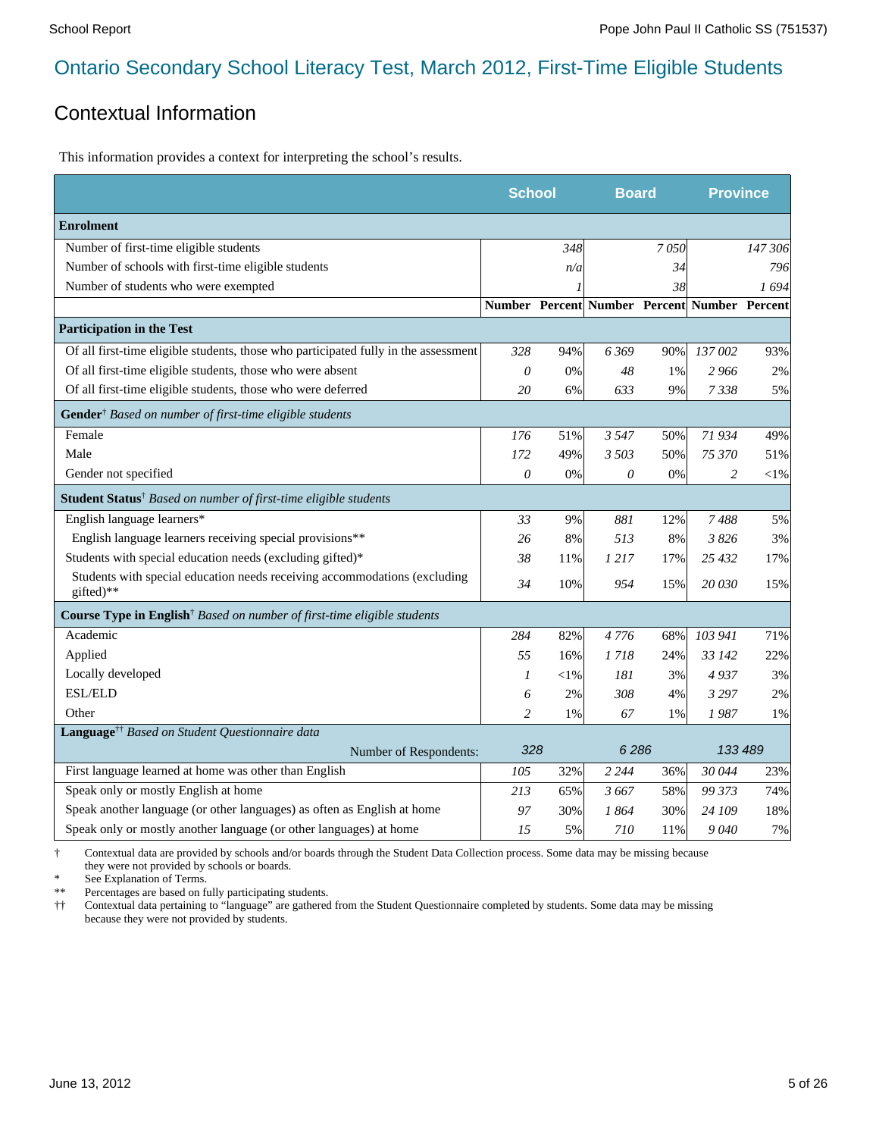#### Contextual Information

This information provides a context for interpreting the school's results.

|                                                                                        | <b>School</b> |            | <b>Board</b>                                 |      | <b>Province</b> |         |
|----------------------------------------------------------------------------------------|---------------|------------|----------------------------------------------|------|-----------------|---------|
| <b>Enrolment</b>                                                                       |               |            |                                              |      |                 |         |
| Number of first-time eligible students                                                 |               | 348        |                                              | 7050 |                 | 147 306 |
| Number of schools with first-time eligible students                                    |               | n/a        |                                              | 34   |                 | 796     |
| Number of students who were exempted                                                   |               |            |                                              | 38   |                 | 1694    |
|                                                                                        |               |            | Number Percent Number Percent Number Percent |      |                 |         |
| <b>Participation in the Test</b>                                                       |               |            |                                              |      |                 |         |
| Of all first-time eligible students, those who participated fully in the assessment    | 328           | 94%        | 6369                                         | 90%  | 137 002         | 93%     |
| Of all first-time eligible students, those who were absent                             | 0             | 0%         | 48                                           | 1%   | 2966            | 2%      |
| Of all first-time eligible students, those who were deferred                           | 20            | 6%         | 633                                          | 9%   | 7338            | 5%      |
| Gender <sup>†</sup> Based on number of first-time eligible students                    |               |            |                                              |      |                 |         |
| Female                                                                                 | 176           | 51%        | 3547                                         | 50%  | 71 934          | 49%     |
| Male                                                                                   | 172           | 49%        | 3 503                                        | 50%  | 75 370          | 51%     |
| Gender not specified                                                                   | 0             | 0%         | $\theta$                                     | 0%   | $\overline{c}$  | $<$ 1%  |
| <b>Student Status</b> <sup>†</sup> Based on number of first-time eligible students     |               |            |                                              |      |                 |         |
| English language learners*                                                             | 33            | 9%         | 881                                          | 12%  | 7488            | 5%      |
| English language learners receiving special provisions**                               | 26            | 8%         | 513                                          | 8%   | 3826            | 3%      |
| Students with special education needs (excluding gifted)*                              | 38            | 11%        | 1 217                                        | 17%  | 25 432          | 17%     |
| Students with special education needs receiving accommodations (excluding<br>gifted)** | 34            | 10%        | 954                                          | 15%  | 20 030          | 15%     |
| Course Type in English <sup>†</sup> Based on number of first-time eligible students    |               |            |                                              |      |                 |         |
| Academic                                                                               | 284           | 82%        | 4776                                         | 68%  | 103 941         | 71%     |
| Applied                                                                                | 55            | 16%        | 1 718                                        | 24%  | 33 142          | 22%     |
| Locally developed                                                                      | 1             | $<\!\!1\%$ | 181                                          | 3%   | 4937            | 3%      |
| <b>ESL/ELD</b>                                                                         | 6             | 2%         | 308                                          | 4%   | 3 2 9 7         | 2%      |
| Other                                                                                  | 2             | 1%         | 67                                           | 1%   | 1987            | 1%      |
| Language <sup>††</sup> Based on Student Questionnaire data                             |               |            |                                              |      |                 |         |
| Number of Respondents:                                                                 | 328           |            | 6286                                         |      | 133 489         |         |
| First language learned at home was other than English                                  | 105           | 32%        | 2 2 4 4                                      | 36%  | 30 044          | 23%     |
| Speak only or mostly English at home                                                   | 213           | 65%        | 3667                                         | 58%  | 99 373          | 74%     |
| Speak another language (or other languages) as often as English at home                | 97            | 30%        | 1 864                                        | 30%  | 24 109          | 18%     |
| Speak only or mostly another language (or other languages) at home                     | 15            | 5%         | 710                                          | 11%  | 9040            | 7%      |

† Contextual data are provided by schools and/or boards through the Student Data Collection process. Some data may be missing because they were not provided by schools or boards.

\* See Explanation of Terms.<br>\*\* Percentages are based on fix

Percentages are based on fully participating students.

†† Contextual data pertaining to "language" are gathered from the Student Questionnaire completed by students. Some data may be missing because they were not provided by students.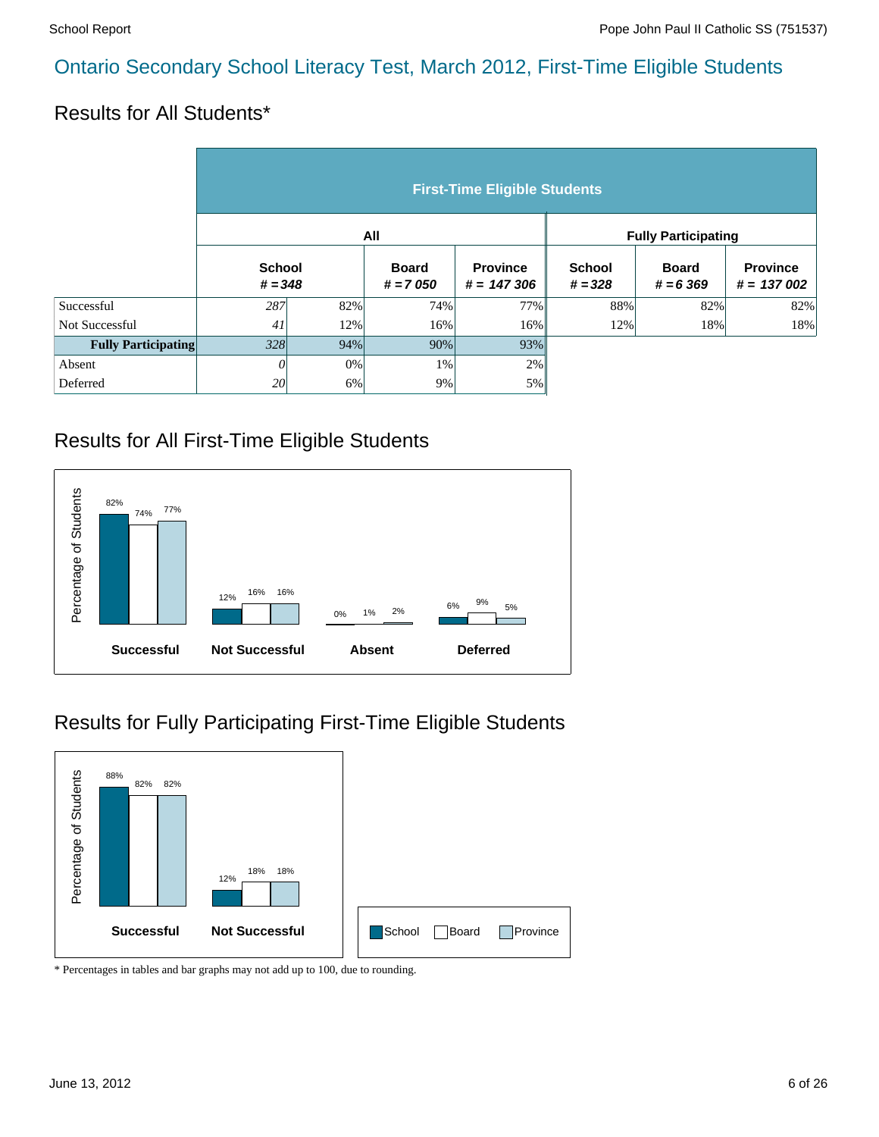#### Results for All Students\*

|                            | <b>First-Time Eligible Students</b> |                            |     |                                 |                            |                             |                                 |  |  |  |  |
|----------------------------|-------------------------------------|----------------------------|-----|---------------------------------|----------------------------|-----------------------------|---------------------------------|--|--|--|--|
|                            |                                     |                            | All |                                 | <b>Fully Participating</b> |                             |                                 |  |  |  |  |
|                            |                                     | <b>School</b><br>$# = 348$ |     | <b>Province</b><br>$# = 147306$ | <b>School</b><br>$# = 328$ | <b>Board</b><br>$# = 6,369$ | <b>Province</b><br>$# = 137002$ |  |  |  |  |
| Successful                 | 287                                 | 82%                        | 74% | 77%                             | 88%                        | 82%                         | 82%                             |  |  |  |  |
| Not Successful             | 41                                  | 12%                        | 16% | 16%                             | 12%                        | 18%                         | 18%                             |  |  |  |  |
| <b>Fully Participating</b> | 328                                 | 94%                        | 90% | 93%                             |                            |                             |                                 |  |  |  |  |
| Absent                     | 0                                   | $0\%$                      | 1%  | 2%                              |                            |                             |                                 |  |  |  |  |
| Deferred                   | 20                                  | 6%                         | 9%  | 5%                              |                            |                             |                                 |  |  |  |  |

#### Results for All First-Time Eligible Students



#### Results for Fully Participating First-Time Eligible Students

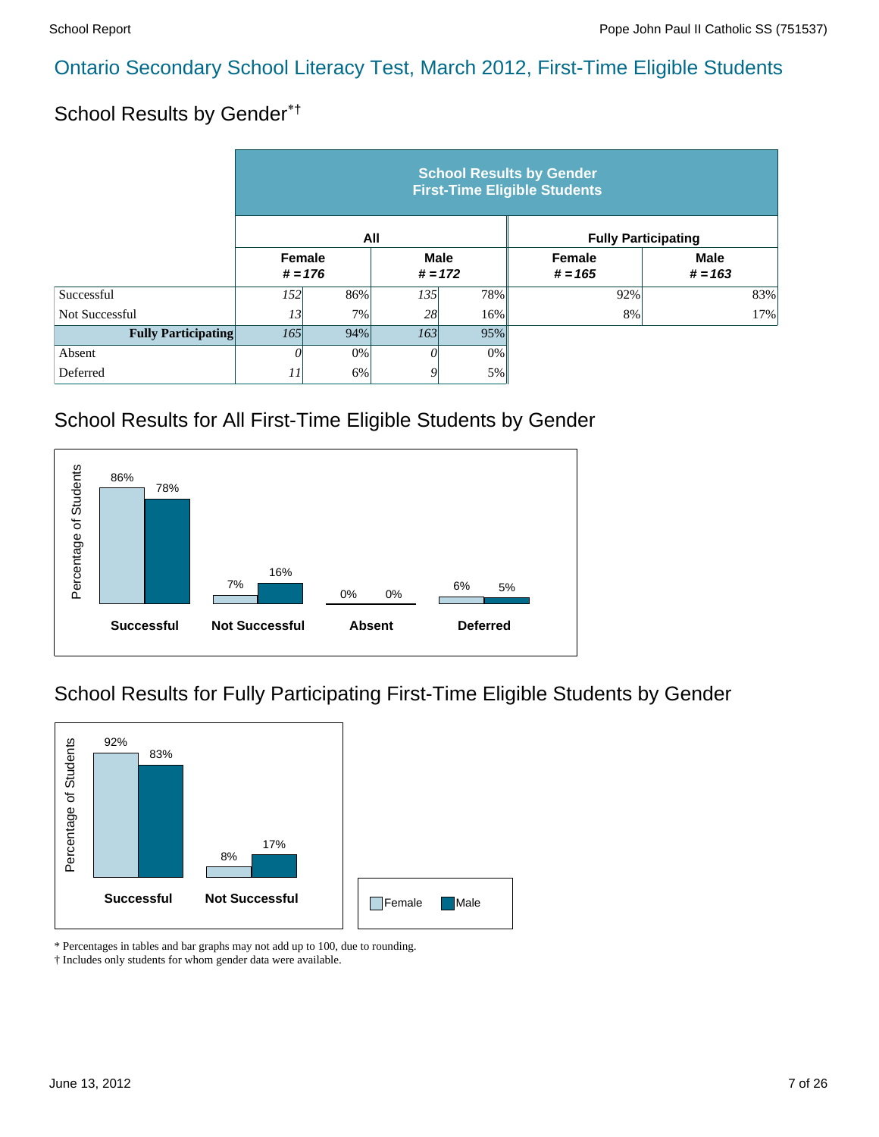#### School Results by Gender\*†

|                            | <b>School Results by Gender</b><br><b>First-Time Eligible Students</b> |           |                          |       |                            |                          |  |  |  |  |
|----------------------------|------------------------------------------------------------------------|-----------|--------------------------|-------|----------------------------|--------------------------|--|--|--|--|
|                            |                                                                        |           | All                      |       | <b>Fully Participating</b> |                          |  |  |  |  |
|                            | <b>Female</b>                                                          | $# = 176$ | <b>Male</b><br>$# = 172$ |       | <b>Female</b><br>$# = 165$ | <b>Male</b><br>$# = 163$ |  |  |  |  |
| Successful                 | <i>152</i>                                                             | 86%       | 135                      | 78%   | 92%                        | 83%                      |  |  |  |  |
| Not Successful             | 13                                                                     | 7%        | 28                       | 16%   | 8%                         | 17%                      |  |  |  |  |
| <b>Fully Participating</b> | 165<br>94%                                                             |           | 163                      | 95%   |                            |                          |  |  |  |  |
| Absent                     | 0                                                                      | 0%        | 0                        | $0\%$ |                            |                          |  |  |  |  |
| Deferred                   | 11                                                                     | 6%        | 9                        | 5%    |                            |                          |  |  |  |  |

# School Results for All First-Time Eligible Students by Gender



# School Results for Fully Participating First-Time Eligible Students by Gender



\* Percentages in tables and bar graphs may not add up to 100, due to rounding.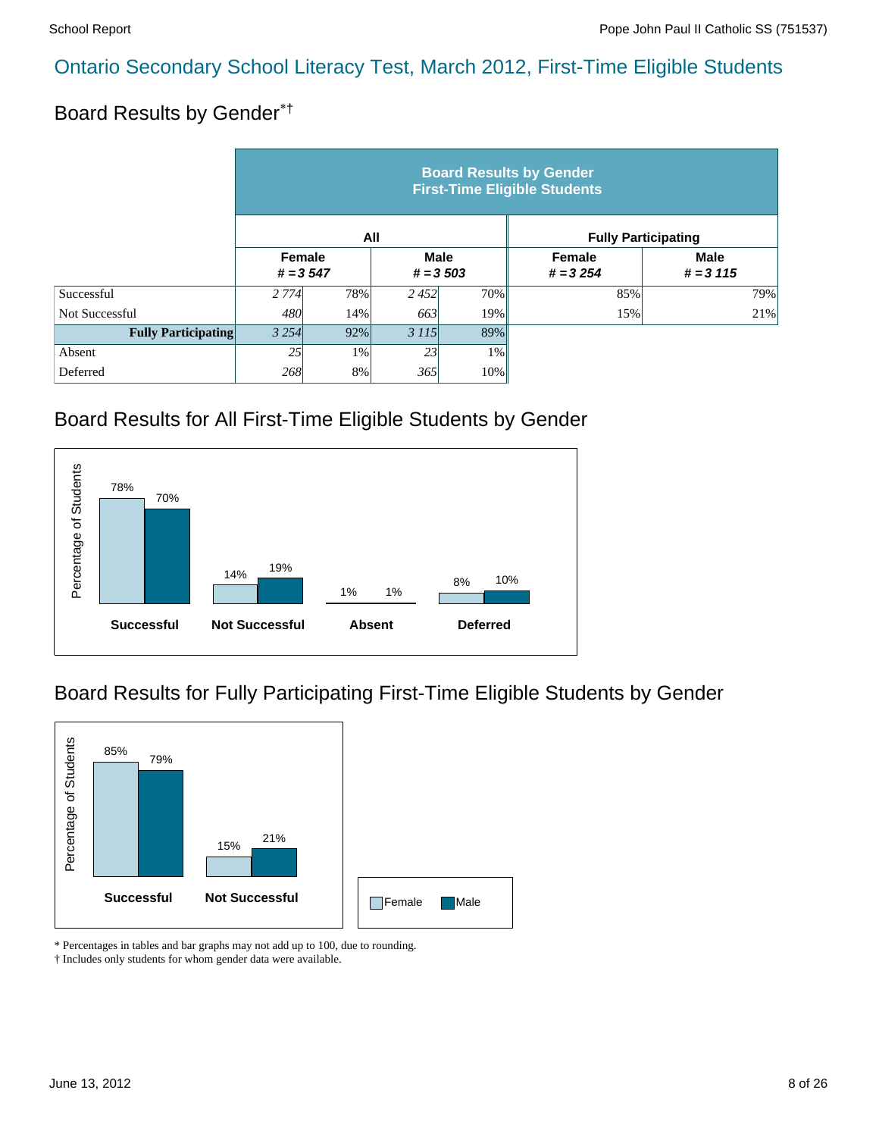# Board Results by Gender\*†

|                            | <b>Board Results by Gender</b><br><b>First-Time Eligible Students</b> |     |                            |       |                             |                            |  |  |  |  |
|----------------------------|-----------------------------------------------------------------------|-----|----------------------------|-------|-----------------------------|----------------------------|--|--|--|--|
|                            |                                                                       |     | All                        |       | <b>Fully Participating</b>  |                            |  |  |  |  |
|                            | Female<br>$# = 3547$                                                  |     | <b>Male</b><br>$# = 3,503$ |       | <b>Female</b><br>$# = 3254$ | <b>Male</b><br>$# = 3 115$ |  |  |  |  |
| Successful                 | 2 7 7 4                                                               | 78% | 2452                       | 70%   | 85%                         | 79%                        |  |  |  |  |
| Not Successful             | 480                                                                   | 14% | 663                        | 19%   | 15%                         | 21%                        |  |  |  |  |
| <b>Fully Participating</b> | 3 2 5 4                                                               | 92% | 3 1 1 5                    | 89%   |                             |                            |  |  |  |  |
| Absent                     | 25                                                                    | 1%  | 23                         | $1\%$ |                             |                            |  |  |  |  |
| Deferred                   | 268                                                                   | 8%  | 365                        | 10%   |                             |                            |  |  |  |  |

#### Board Results for All First-Time Eligible Students by Gender



#### Board Results for Fully Participating First-Time Eligible Students by Gender



\* Percentages in tables and bar graphs may not add up to 100, due to rounding.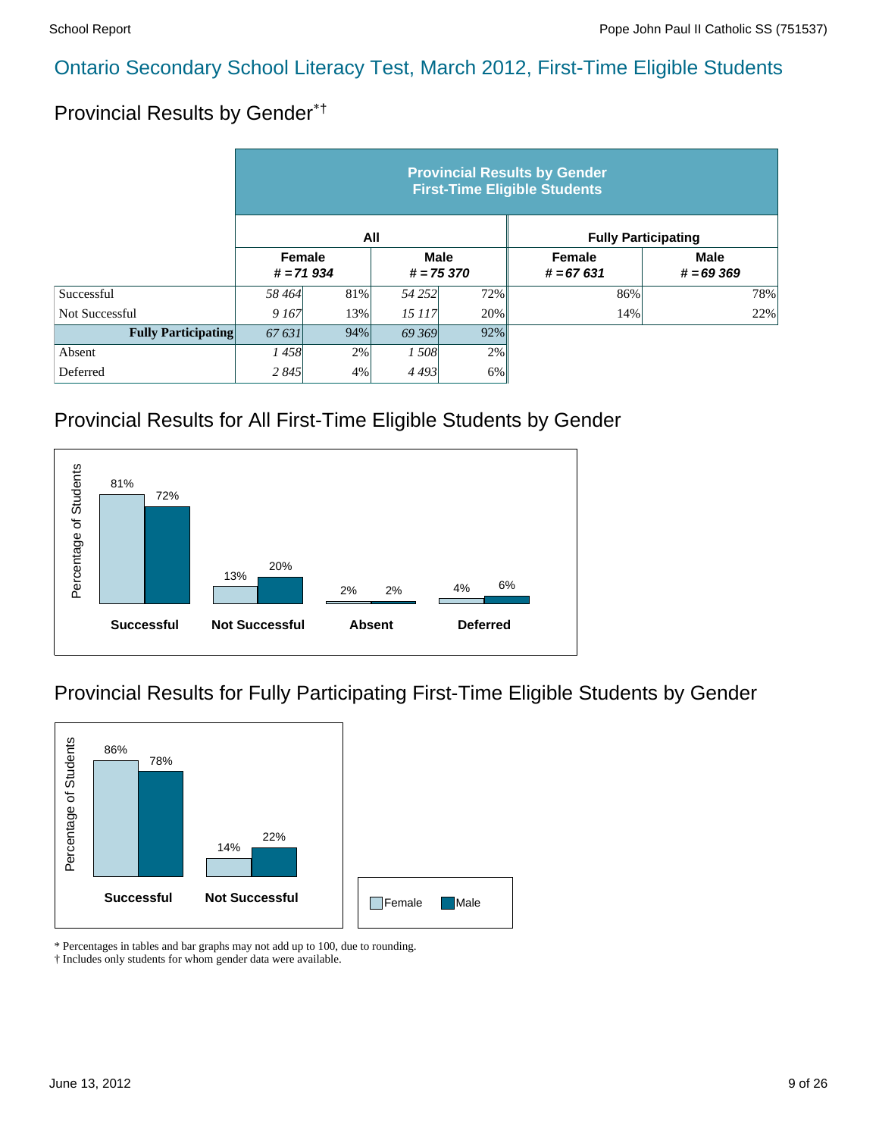# Provincial Results by Gender\*†

|                            | <b>Provincial Results by Gender</b><br><b>First-Time Eligible Students</b> |     |                            |     |                              |                            |  |  |  |  |
|----------------------------|----------------------------------------------------------------------------|-----|----------------------------|-----|------------------------------|----------------------------|--|--|--|--|
|                            |                                                                            | All |                            |     | <b>Fully Participating</b>   |                            |  |  |  |  |
|                            | Female<br>$# = 71934$                                                      |     | <b>Male</b><br>$# = 75370$ |     | <b>Female</b><br>$# = 67631$ | <b>Male</b><br>$# = 69369$ |  |  |  |  |
| Successful                 | 58464                                                                      | 81% | 54 25 2                    | 72% | 86%                          | 78%                        |  |  |  |  |
| Not Successful             | 9 167                                                                      | 13% | 15 117                     | 20% | 14%                          | 22%                        |  |  |  |  |
| <b>Fully Participating</b> | 67 631<br>94%                                                              |     | 69 369                     | 92% |                              |                            |  |  |  |  |
| Absent                     | 1458                                                                       | 2%  | 1 508                      | 2%  |                              |                            |  |  |  |  |
| Deferred                   | 2 8 4 5                                                                    | 4%  | 4493                       | 6%  |                              |                            |  |  |  |  |

#### Provincial Results for All First-Time Eligible Students by Gender



#### Provincial Results for Fully Participating First-Time Eligible Students by Gender



\* Percentages in tables and bar graphs may not add up to 100, due to rounding.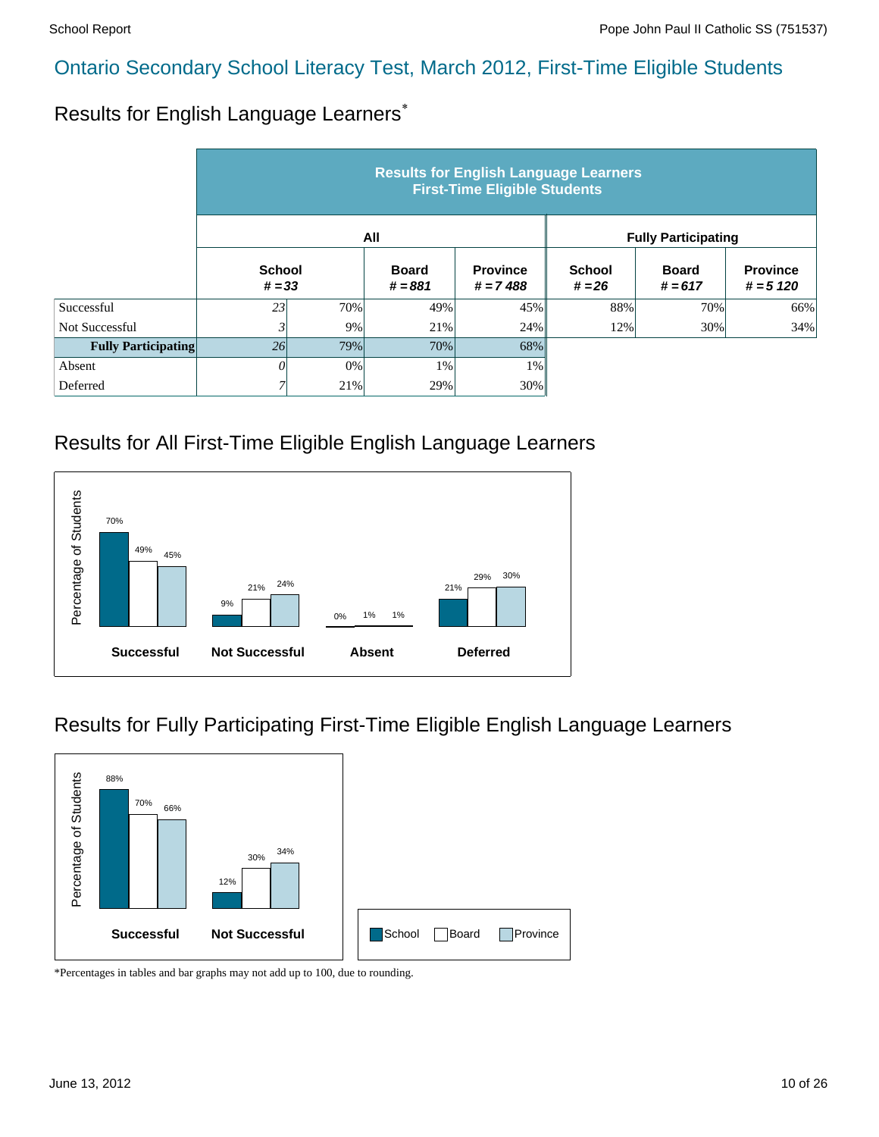#### Results for English Language Learners\*

|                            | <b>Results for English Language Learners</b><br><b>First-Time Eligible Students</b> |                           |       |                               |                            |                           |                                |  |  |  |
|----------------------------|-------------------------------------------------------------------------------------|---------------------------|-------|-------------------------------|----------------------------|---------------------------|--------------------------------|--|--|--|
|                            |                                                                                     |                           | All   |                               | <b>Fully Participating</b> |                           |                                |  |  |  |
|                            |                                                                                     | <b>School</b><br>$# = 33$ |       | <b>Province</b><br>$# = 7488$ | <b>School</b><br>$# = 26$  | <b>Board</b><br>$# = 617$ | <b>Province</b><br>$# = 5 120$ |  |  |  |
| Successful                 | 23                                                                                  | 70%                       | 49%   | 45%                           | 88%                        | 70%                       | 66%                            |  |  |  |
| Not Successful             |                                                                                     | 9%                        | 21%   | 24%                           | 12%                        | 30%                       | 34%                            |  |  |  |
| <b>Fully Participating</b> | 26                                                                                  | 79%                       | 70%   | 68%                           |                            |                           |                                |  |  |  |
| Absent                     | O                                                                                   | $0\%$                     | $1\%$ | $1\%$                         |                            |                           |                                |  |  |  |
| Deferred                   | 7                                                                                   | 21%                       | 29%   | 30%                           |                            |                           |                                |  |  |  |

#### Results for All First-Time Eligible English Language Learners



#### Results for Fully Participating First-Time Eligible English Language Learners

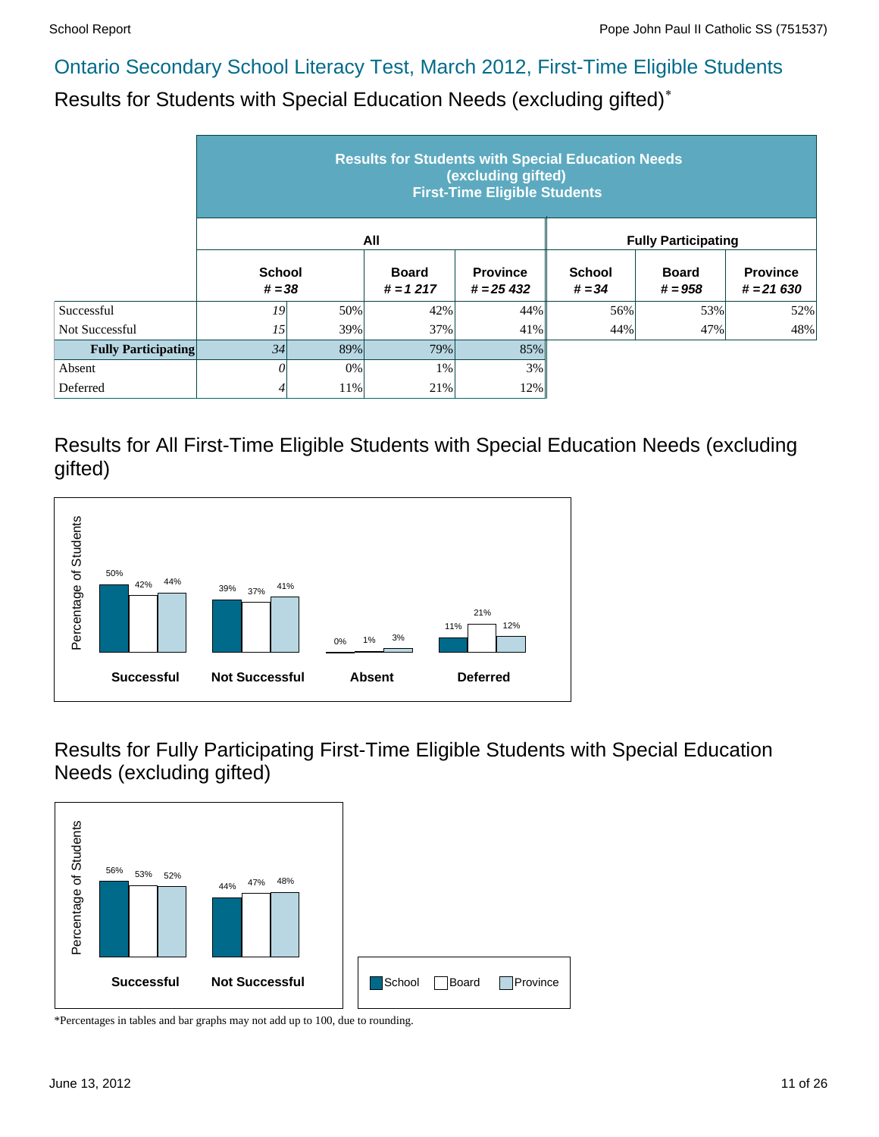Results for Students with Special Education Needs (excluding gifted)\*

|                            | <b>Results for Students with Special Education Needs</b><br>(excluding gifted)<br><b>First-Time Eligible Students</b> |     |                            |                                |                            |                           |                                |  |  |  |  |
|----------------------------|-----------------------------------------------------------------------------------------------------------------------|-----|----------------------------|--------------------------------|----------------------------|---------------------------|--------------------------------|--|--|--|--|
|                            |                                                                                                                       |     | All                        |                                | <b>Fully Participating</b> |                           |                                |  |  |  |  |
|                            | <b>School</b><br>$# = 38$                                                                                             |     | <b>Board</b><br>$# = 1217$ | <b>Province</b><br>$# = 25432$ | <b>School</b><br>$# = 34$  | <b>Board</b><br>$# = 958$ | <b>Province</b><br>$# = 21630$ |  |  |  |  |
| Successful                 | 19                                                                                                                    | 50% | 42%                        | 44%                            | 56%                        | 53%                       | 52%                            |  |  |  |  |
| Not Successful             | 15                                                                                                                    | 39% | 37%                        | 41%                            | 44%                        | 47%                       | 48%                            |  |  |  |  |
| <b>Fully Participating</b> | 34                                                                                                                    | 89% | 79%                        | 85%                            |                            |                           |                                |  |  |  |  |
| Absent                     | 0                                                                                                                     | 0%  | 1%                         | 3%                             |                            |                           |                                |  |  |  |  |
| Deferred                   | 4                                                                                                                     | 11% | 21%                        | 12%                            |                            |                           |                                |  |  |  |  |

Results for All First-Time Eligible Students with Special Education Needs (excluding gifted)



Results for Fully Participating First-Time Eligible Students with Special Education Needs (excluding gifted)

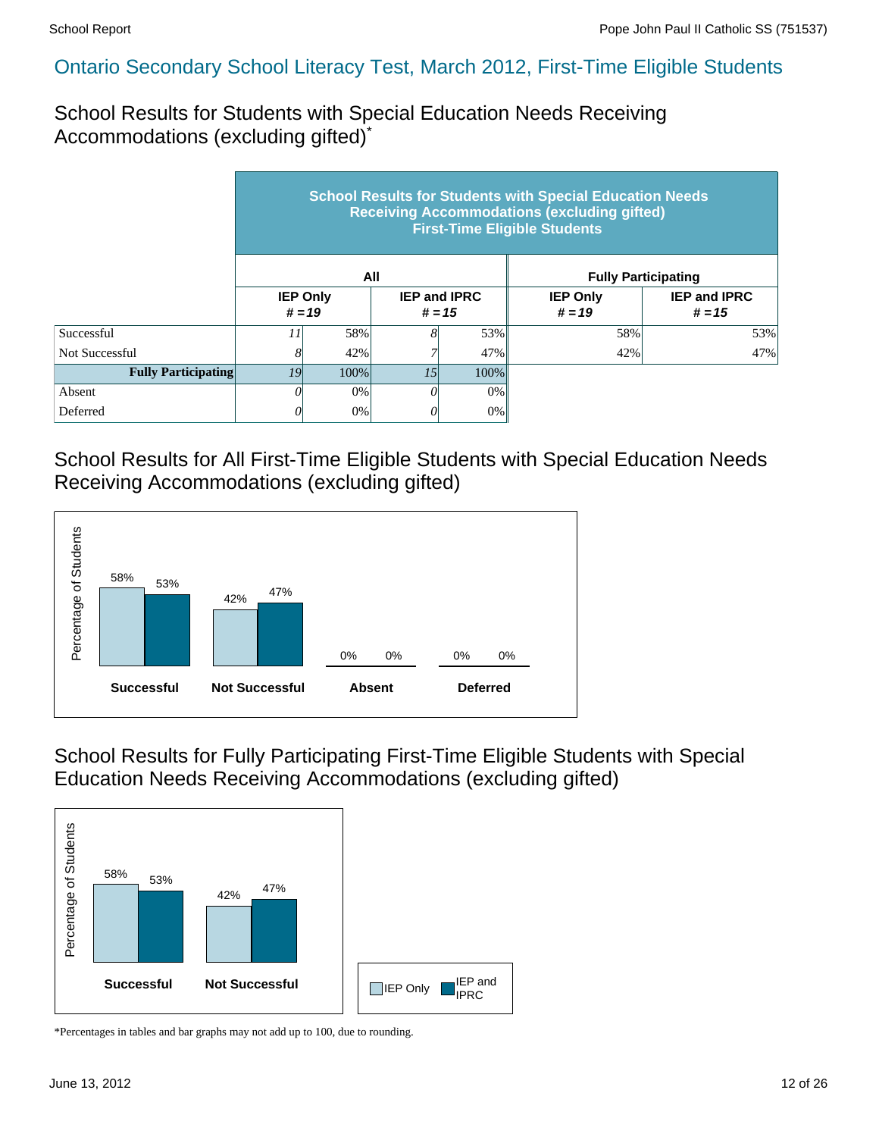School Results for Students with Special Education Needs Receiving Accommodations (excluding gifted)\*

|                            | <b>School Results for Students with Special Education Needs</b><br><b>Receiving Accommodations (excluding gifted)</b><br><b>First-Time Eligible Students</b> |                 |                                 |         |                             |                                 |  |  |  |  |
|----------------------------|--------------------------------------------------------------------------------------------------------------------------------------------------------------|-----------------|---------------------------------|---------|-----------------------------|---------------------------------|--|--|--|--|
|                            |                                                                                                                                                              |                 | All                             |         | <b>Fully Participating</b>  |                                 |  |  |  |  |
|                            | $# = 19$                                                                                                                                                     | <b>IEP Only</b> | <b>IEP and IPRC</b><br>$# = 15$ |         | <b>IEP Only</b><br>$# = 19$ | <b>IEP and IPRC</b><br>$# = 15$ |  |  |  |  |
| Successful                 | 11                                                                                                                                                           | 58%             | 8                               | 53%     | 58%                         | 53%                             |  |  |  |  |
| Not Successful             | 8                                                                                                                                                            | 42%             |                                 | 47%     | 42%                         | 47%                             |  |  |  |  |
| <b>Fully Participating</b> | 19<br>100%                                                                                                                                                   |                 | 15                              | $100\%$ |                             |                                 |  |  |  |  |
| Absent                     | 0                                                                                                                                                            | $0\%$           | 0                               | 0%      |                             |                                 |  |  |  |  |
| Deferred                   | 0                                                                                                                                                            | 0%              | 0                               | 0%      |                             |                                 |  |  |  |  |

School Results for All First-Time Eligible Students with Special Education Needs Receiving Accommodations (excluding gifted)



School Results for Fully Participating First-Time Eligible Students with Special Education Needs Receiving Accommodations (excluding gifted)

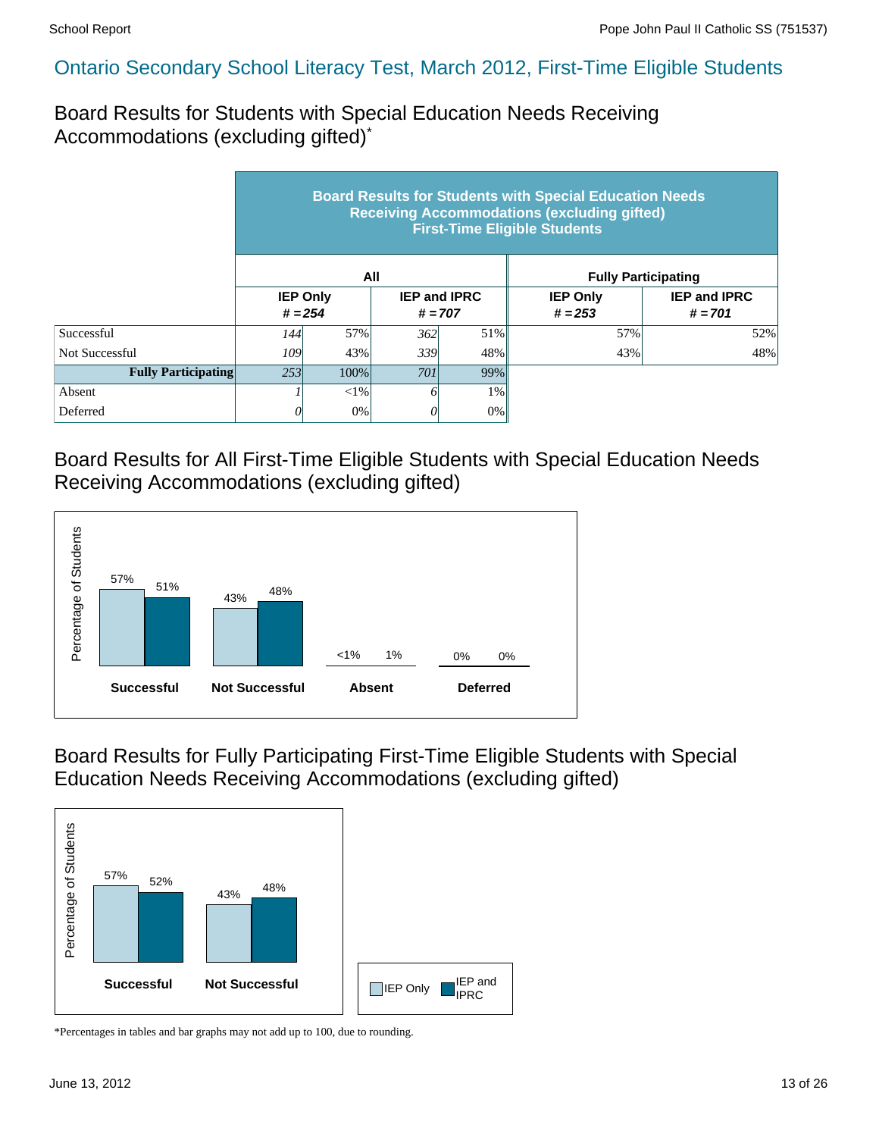Board Results for Students with Special Education Needs Receiving Accommodations (excluding gifted)\*

|                            | <b>Board Results for Students with Special Education Needs</b><br><b>Receiving Accommodations (excluding gifted)</b><br><b>First-Time Eligible Students</b> |                                                                  |     |       |                              |                                  |  |  |  |  |
|----------------------------|-------------------------------------------------------------------------------------------------------------------------------------------------------------|------------------------------------------------------------------|-----|-------|------------------------------|----------------------------------|--|--|--|--|
|                            |                                                                                                                                                             |                                                                  | All |       | <b>Fully Participating</b>   |                                  |  |  |  |  |
|                            |                                                                                                                                                             | <b>IEP Only</b><br><b>IEP and IPRC</b><br>$# = 254$<br>$# = 707$ |     |       | <b>IEP Only</b><br>$# = 253$ | <b>IEP and IPRC</b><br>$# = 701$ |  |  |  |  |
| Successful                 | 144 l                                                                                                                                                       | 57%                                                              | 362 | 51%   | 57%                          | 52%                              |  |  |  |  |
| Not Successful             | 109                                                                                                                                                         | 43%                                                              | 339 | 48%   | 43%                          | 48%                              |  |  |  |  |
| <b>Fully Participating</b> | 253                                                                                                                                                         | 100%                                                             | 701 | 99%   |                              |                                  |  |  |  |  |
| Absent                     |                                                                                                                                                             | ${<}1\%$                                                         |     | $1\%$ |                              |                                  |  |  |  |  |
| Deferred                   |                                                                                                                                                             | 0%                                                               | 0   | 0%    |                              |                                  |  |  |  |  |

Board Results for All First-Time Eligible Students with Special Education Needs Receiving Accommodations (excluding gifted)



Board Results for Fully Participating First-Time Eligible Students with Special Education Needs Receiving Accommodations (excluding gifted)

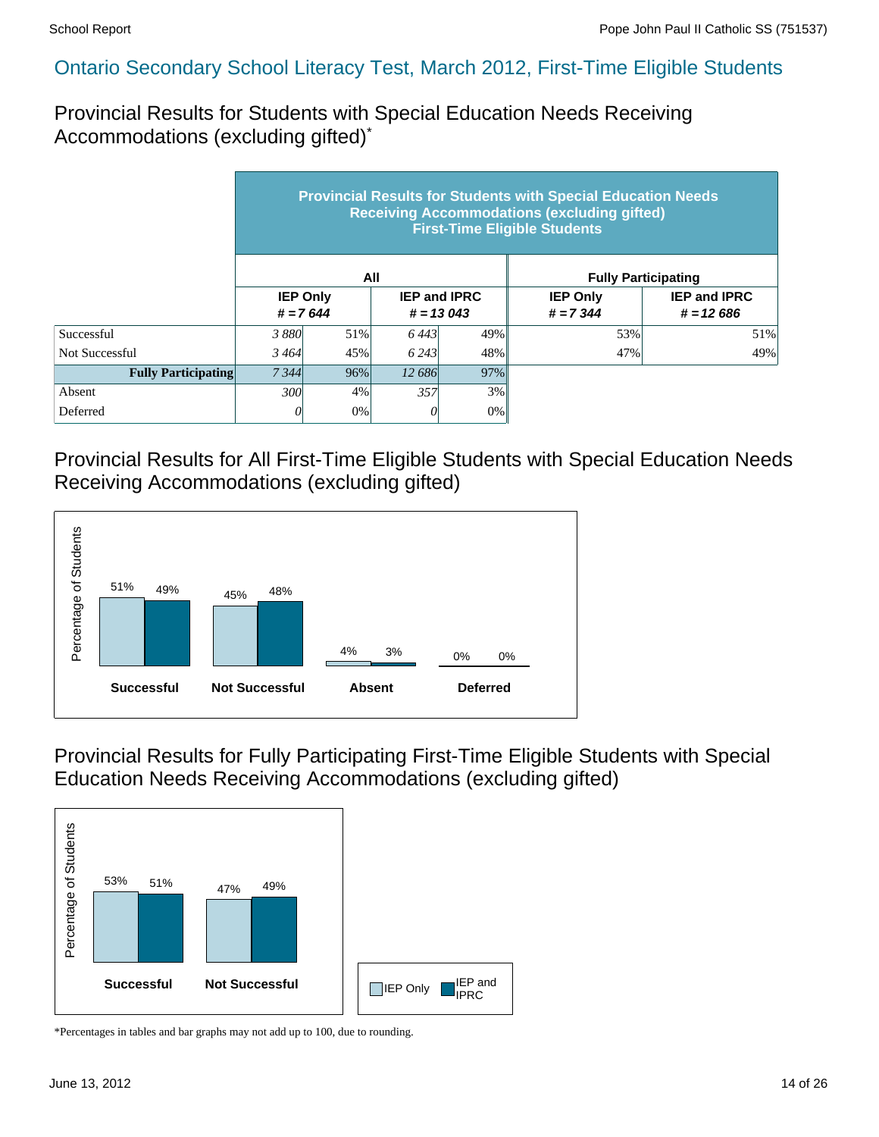Provincial Results for Students with Special Education Needs Receiving Accommodations (excluding gifted)\*

|                            | <b>Provincial Results for Students with Special Education Needs</b><br><b>Receiving Accommodations (excluding gifted)</b><br><b>First-Time Eligible Students</b> |                               |                                    |     |                                |                                    |  |  |  |  |
|----------------------------|------------------------------------------------------------------------------------------------------------------------------------------------------------------|-------------------------------|------------------------------------|-----|--------------------------------|------------------------------------|--|--|--|--|
|                            |                                                                                                                                                                  |                               | All                                |     | <b>Fully Participating</b>     |                                    |  |  |  |  |
|                            |                                                                                                                                                                  | <b>IEP Only</b><br>$# = 7644$ | <b>IEP and IPRC</b><br>$# = 13043$ |     | <b>IEP Only</b><br>$# = 7.344$ | <b>IEP and IPRC</b><br>$# = 12686$ |  |  |  |  |
| Successful                 | 3 8 8 0                                                                                                                                                          | 51%                           | 6443                               | 49% | 53%                            | 51%                                |  |  |  |  |
| Not Successful             | 3464                                                                                                                                                             | 45%                           | 6 2 4 3                            | 48% | 47%                            | 49%                                |  |  |  |  |
| <b>Fully Participating</b> | 7 3 4 4                                                                                                                                                          | 96%                           | 12.686                             | 97% |                                |                                    |  |  |  |  |
| Absent                     | 300                                                                                                                                                              | 4%                            | 357                                | 3%  |                                |                                    |  |  |  |  |
| Deferred                   | 01                                                                                                                                                               | 0%                            | U                                  | 0%  |                                |                                    |  |  |  |  |

Provincial Results for All First-Time Eligible Students with Special Education Needs Receiving Accommodations (excluding gifted)



Provincial Results for Fully Participating First-Time Eligible Students with Special Education Needs Receiving Accommodations (excluding gifted)

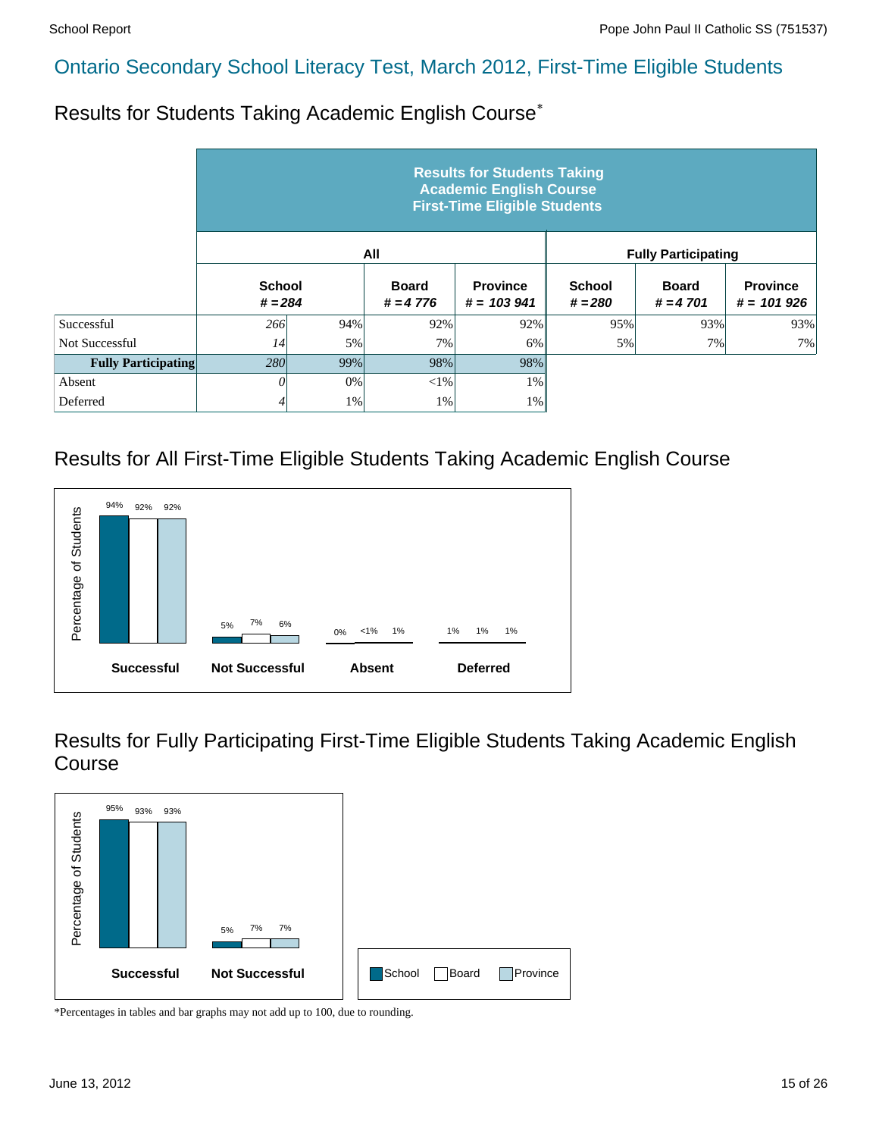Results for Students Taking Academic English Course\*

|                            | <b>Results for Students Taking</b><br><b>Academic English Course</b><br><b>First-Time Eligible Students</b> |     |                            |                                  |                            |                            |                                 |  |  |  |
|----------------------------|-------------------------------------------------------------------------------------------------------------|-----|----------------------------|----------------------------------|----------------------------|----------------------------|---------------------------------|--|--|--|
|                            |                                                                                                             |     | All                        |                                  |                            | <b>Fully Participating</b> |                                 |  |  |  |
|                            | <b>School</b><br>$# = 284$                                                                                  |     | <b>Board</b><br>$# = 4776$ | <b>Province</b><br>$# = 103.941$ | <b>School</b><br>$# = 280$ | <b>Board</b><br>$# = 4701$ | <b>Province</b><br>$# = 101926$ |  |  |  |
| Successful                 | 266                                                                                                         | 94% | 92%                        | 92%                              | 95%                        | 93%                        | 93%                             |  |  |  |
| Not Successful             | 14                                                                                                          | 5%  | 7%                         | 6%                               | 5%                         | 7%                         | 7%                              |  |  |  |
| <b>Fully Participating</b> | 280                                                                                                         | 99% | 98%                        | 98%                              |                            |                            |                                 |  |  |  |
| Absent                     | 0                                                                                                           | 0%  | $<$ 1%                     | 1%                               |                            |                            |                                 |  |  |  |
| Deferred                   | 4                                                                                                           | 1%  | 1%                         | $1\%$                            |                            |                            |                                 |  |  |  |

# Results for All First-Time Eligible Students Taking Academic English Course



Results for Fully Participating First-Time Eligible Students Taking Academic English Course

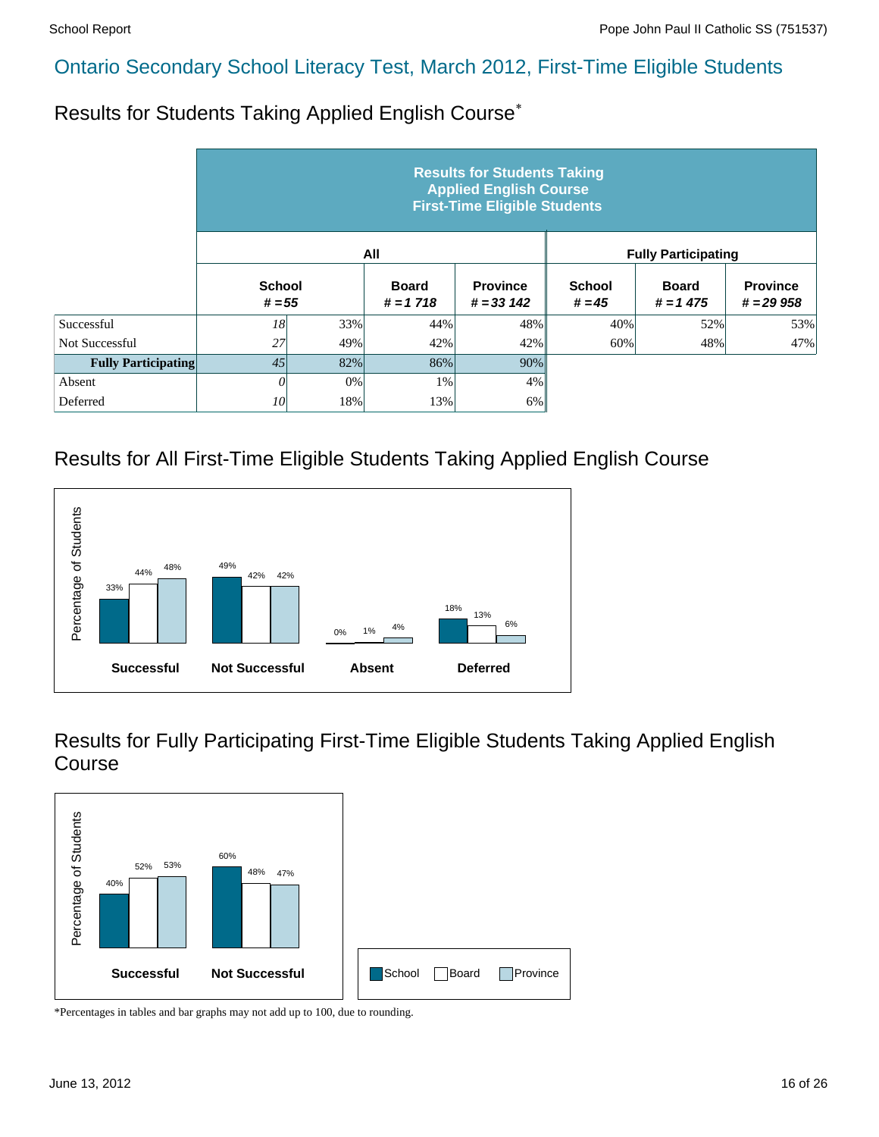Results for Students Taking Applied English Course\*

|                            | <b>Results for Students Taking</b><br><b>Applied English Course</b><br><b>First-Time Eligible Students</b> |     |                            |                                 |                           |                            |                                |  |  |  |  |
|----------------------------|------------------------------------------------------------------------------------------------------------|-----|----------------------------|---------------------------------|---------------------------|----------------------------|--------------------------------|--|--|--|--|
|                            |                                                                                                            |     | All                        |                                 |                           | <b>Fully Participating</b> |                                |  |  |  |  |
|                            | <b>School</b><br>$# = 55$                                                                                  |     | <b>Board</b><br>$# = 1718$ | <b>Province</b><br>$# = 33,142$ | <b>School</b><br>$# = 45$ | <b>Board</b><br>$# = 1475$ | <b>Province</b><br>$# = 29958$ |  |  |  |  |
| Successful                 | 18                                                                                                         | 33% | 44%                        | 48%                             | 40%                       | 52%                        | 53%                            |  |  |  |  |
| Not Successful             | 27                                                                                                         | 49% | 42%                        | 42%                             | 60%                       | 48%                        | 47%                            |  |  |  |  |
| <b>Fully Participating</b> | 45                                                                                                         | 82% | 86%                        | 90%                             |                           |                            |                                |  |  |  |  |
| Absent                     | 0                                                                                                          | 0%  | 1%                         | 4%                              |                           |                            |                                |  |  |  |  |
| Deferred                   | 10                                                                                                         | 18% | 13%                        | 6%                              |                           |                            |                                |  |  |  |  |

#### Results for All First-Time Eligible Students Taking Applied English Course



Results for Fully Participating First-Time Eligible Students Taking Applied English Course

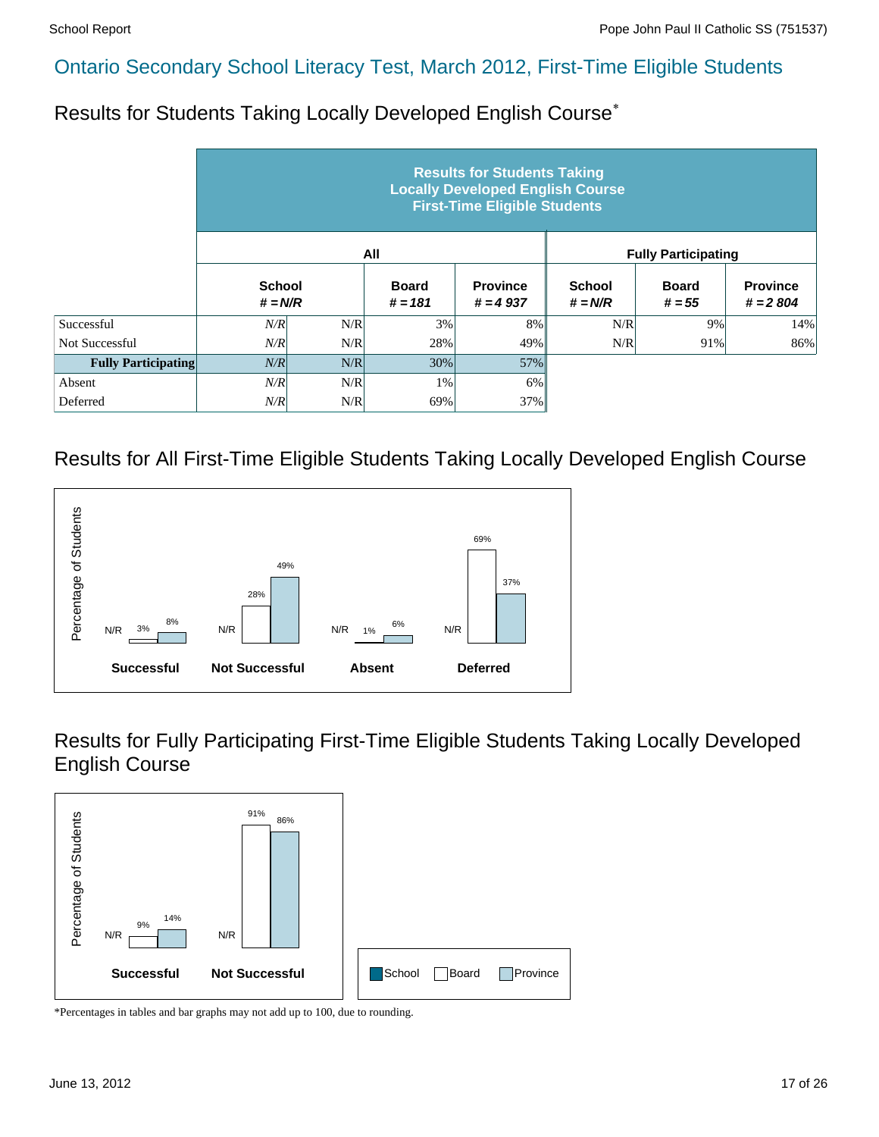Results for Students Taking Locally Developed English Course\*

|                            |                            |     |                           | <b>Results for Students Taking</b><br><b>Locally Developed English Course</b><br><b>First-Time Eligible Students</b> |                            |                            |                               |
|----------------------------|----------------------------|-----|---------------------------|----------------------------------------------------------------------------------------------------------------------|----------------------------|----------------------------|-------------------------------|
|                            |                            |     | All                       |                                                                                                                      |                            | <b>Fully Participating</b> |                               |
|                            | <b>School</b><br>$# = N/R$ |     | <b>Board</b><br>$# = 181$ | <b>Province</b><br>$# = 4937$                                                                                        | <b>School</b><br>$# = N/R$ | <b>Board</b><br>$# = 55$   | <b>Province</b><br>$# = 2804$ |
| Successful                 | N/R                        | N/R | 3%                        | 8%                                                                                                                   | N/R                        | 9%                         | 14%                           |
| Not Successful             | N/R                        | N/R | 28%                       | 49%                                                                                                                  | N/R                        | 91%                        | 86%                           |
| <b>Fully Participating</b> | N/R                        | N/R | 30%                       | 57%                                                                                                                  |                            |                            |                               |
| Absent                     | N/R                        | N/R | 1%                        | 6%                                                                                                                   |                            |                            |                               |
| Deferred                   | N/R                        | N/R | 69%                       | 37%                                                                                                                  |                            |                            |                               |

#### Results for All First-Time Eligible Students Taking Locally Developed English Course



Results for Fully Participating First-Time Eligible Students Taking Locally Developed English Course

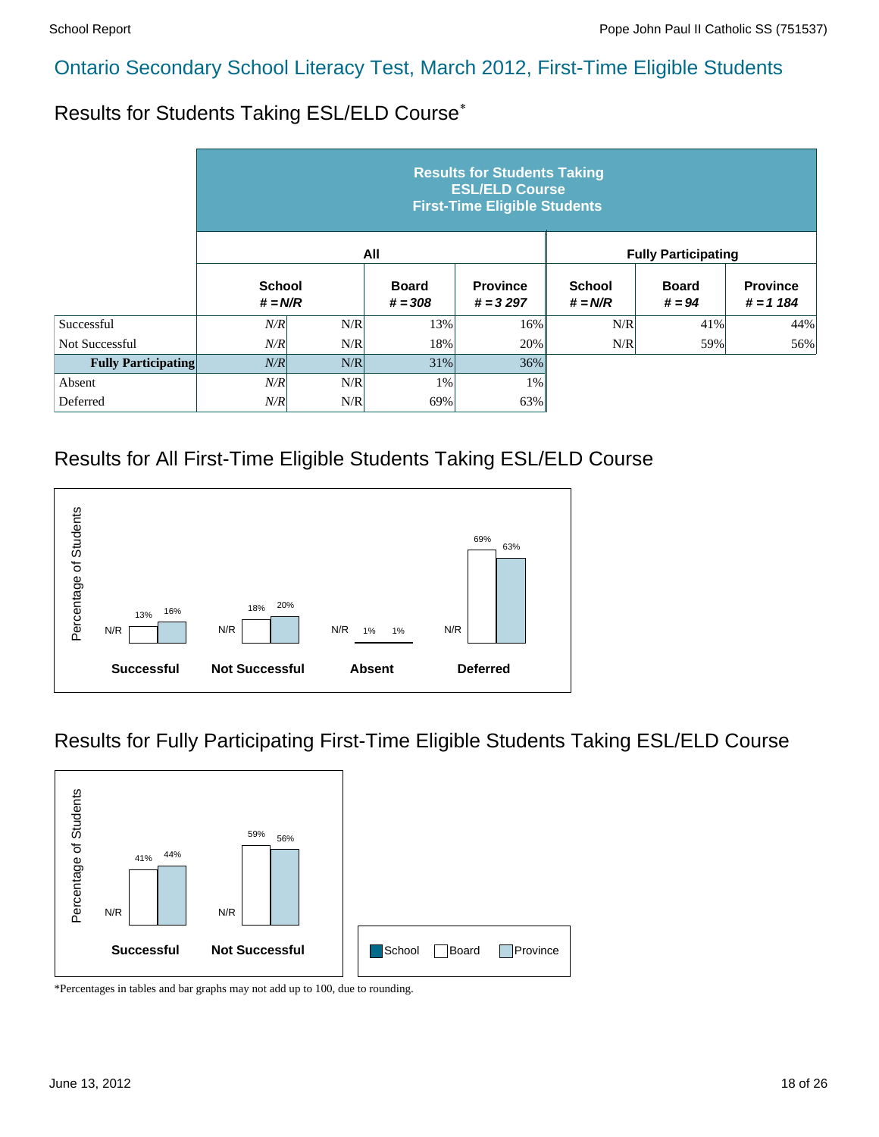Results for Students Taking ESL/ELD Course\*

|                            |                            |     |                           | <b>Results for Students Taking</b><br><b>ESL/ELD Course</b><br><b>First-Time Eligible Students</b> |                            |                            |                                |
|----------------------------|----------------------------|-----|---------------------------|----------------------------------------------------------------------------------------------------|----------------------------|----------------------------|--------------------------------|
|                            |                            |     | All                       |                                                                                                    |                            | <b>Fully Participating</b> |                                |
|                            | <b>School</b><br>$# = N/R$ |     | <b>Board</b><br>$# = 308$ | <b>Province</b><br>$# = 3297$                                                                      | <b>School</b><br>$# = N/R$ | <b>Board</b><br>$# = 94$   | <b>Province</b><br>$# = 1 184$ |
| Successful                 | N/R                        | N/R | 13%                       | 16%                                                                                                | N/R                        | 41%                        | 44%                            |
| Not Successful             | N/R                        | N/R | 18%                       | 20%                                                                                                | N/R                        | 59%                        | 56%                            |
| <b>Fully Participating</b> | N/R                        | N/R | 31%                       | $36\%$                                                                                             |                            |                            |                                |
| Absent                     | N/R                        | N/R | 1%                        | $1\%$                                                                                              |                            |                            |                                |
| Deferred                   | N/R                        | N/R | 69%                       | 63%                                                                                                |                            |                            |                                |

#### Results for All First-Time Eligible Students Taking ESL/ELD Course



#### Results for Fully Participating First-Time Eligible Students Taking ESL/ELD Course

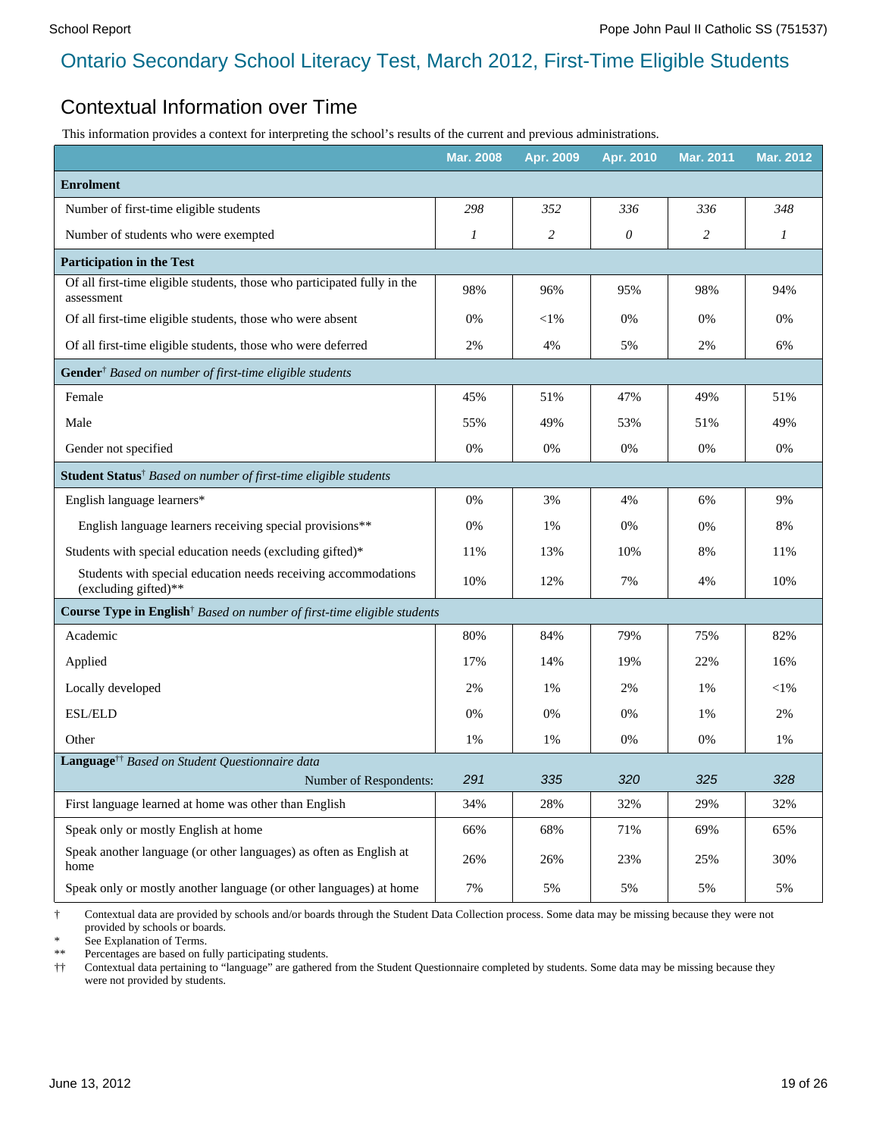#### Contextual Information over Time

This information provides a context for interpreting the school's results of the current and previous administrations.

|                                                                                                            | <b>Mar. 2008</b> | Apr. 2009      | Apr. 2010  | <b>Mar. 2011</b> | <b>Mar. 2012</b> |
|------------------------------------------------------------------------------------------------------------|------------------|----------------|------------|------------------|------------------|
| <b>Enrolment</b>                                                                                           |                  |                |            |                  |                  |
| Number of first-time eligible students                                                                     | 298              | 352            | 336        | 336              | 348              |
| Number of students who were exempted                                                                       | 1                | $\overline{c}$ | 0          | 2                | 1                |
| <b>Participation in the Test</b>                                                                           |                  |                |            |                  |                  |
| Of all first-time eligible students, those who participated fully in the<br>assessment                     | 98%              | 96%            | 95%        | 98%              | 94%              |
| Of all first-time eligible students, those who were absent                                                 | 0%               | $<$ 1%         | 0%         | 0%               | 0%               |
| Of all first-time eligible students, those who were deferred                                               | 2%               | 4%             | 5%         | 2%               | 6%               |
| Gender <sup>†</sup> Based on number of first-time eligible students                                        |                  |                |            |                  |                  |
| Female                                                                                                     | 45%              | 51%            | 47%        | 49%              | 51%              |
| Male                                                                                                       | 55%              | 49%            | 53%        | 51%              | 49%              |
| Gender not specified                                                                                       | 0%               | 0%             | 0%         | 0%               | 0%               |
| Student Status <sup>†</sup> Based on number of first-time eligible students                                |                  |                |            |                  |                  |
| English language learners*                                                                                 | 0%               | 3%             | 4%         | 6%               | 9%               |
| English language learners receiving special provisions**                                                   | 0%               | 1%             | 0%         | 0%               | 8%               |
| Students with special education needs (excluding gifted)*                                                  | 11%              | 13%            | 10%        | 8%               | 11%              |
| Students with special education needs receiving accommodations<br>(excluding gifted)**                     | 10%              | 12%            | 7%         | 4%               | 10%              |
| Course Type in English <sup>†</sup> Based on number of first-time eligible students                        |                  |                |            |                  |                  |
| Academic                                                                                                   | 80%              | 84%            | 79%        | 75%              | 82%              |
| Applied                                                                                                    | 17%              | 14%            | 19%        | 22%              | 16%              |
| Locally developed                                                                                          | 2%               | 1%             | 2%         | 1%               | $<$ 1%           |
| ESL/ELD                                                                                                    | 0%               | 0%             | 0%         | 1%               | 2%               |
| Other                                                                                                      | 1%               | 1%             | 0%         | 0%               | 1%               |
| Language <sup>††</sup> Based on Student Questionnaire data                                                 |                  |                |            |                  |                  |
| Number of Respondents:                                                                                     | 291<br>34%       | 335<br>28%     | 320<br>32% | 325<br>29%       | 328<br>32%       |
| First language learned at home was other than English                                                      |                  |                |            |                  |                  |
| Speak only or mostly English at home<br>Speak another language (or other languages) as often as English at | 66%              | 68%            | 71%        | 69%              | 65%              |
| home                                                                                                       | 26%              | 26%            | 23%        | 25%              | 30%              |
| Speak only or mostly another language (or other languages) at home                                         | 7%               | 5%             | 5%         | 5%               | 5%               |

† Contextual data are provided by schools and/or boards through the Student Data Collection process. Some data may be missing because they were not provided by schools or boards.

See Explanation of Terms.

\*\* Percentages are based on fully participating students.

†† Contextual data pertaining to "language" are gathered from the Student Questionnaire completed by students. Some data may be missing because they were not provided by students.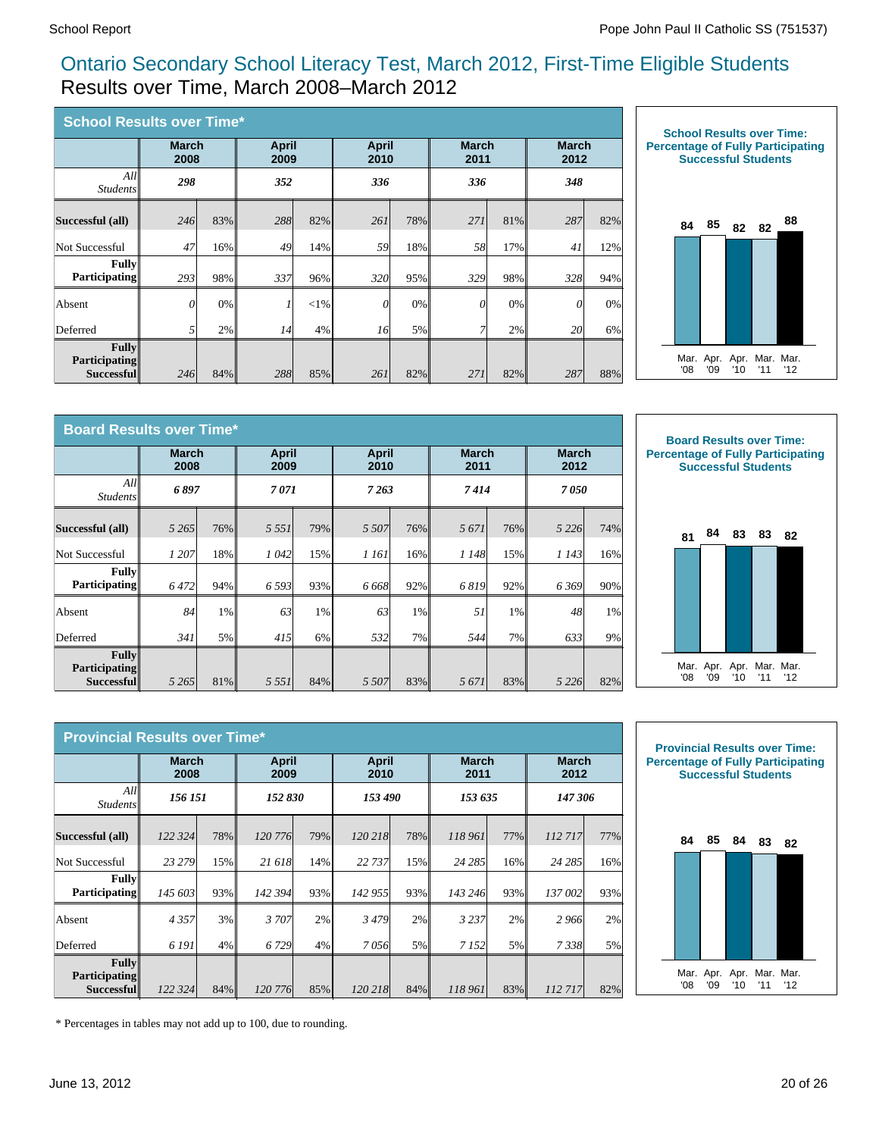#### Ontario Secondary School Literacy Test, March 2012, First-Time Eligible Students Results over Time, March 2008–March 2012

| <b>School Results over Time*</b>                   |                      |     |                      |        |                      |     |                      |     |                      |     |
|----------------------------------------------------|----------------------|-----|----------------------|--------|----------------------|-----|----------------------|-----|----------------------|-----|
|                                                    | <b>March</b><br>2008 |     | <b>April</b><br>2009 |        | <b>April</b><br>2010 |     | <b>March</b><br>2011 |     | <b>March</b><br>2012 |     |
| All<br><i>Students</i>                             | 298                  |     | 352                  |        | 336                  |     | 336                  |     | 348                  |     |
| Successful (all)                                   | 246                  | 83% | 288                  | 82%    | 261                  | 78% | 271                  | 81% | 287                  | 82% |
| Not Successful                                     | 47                   | 16% | 49                   | 14%    | 59                   | 18% | 58                   | 17% | 41                   | 12% |
| <b>Fully</b><br><b>Participating</b>               | 293                  | 98% | 337                  | 96%    | 320                  | 95% | 329                  | 98% | 328                  | 94% |
| Absent                                             | $\theta$             | 0%  |                      | $<$ 1% | $\theta$             | 0%  | 0                    | 0%  | $\theta$             | 0%  |
| Deferred                                           | 51                   | 2%  | 14                   | 4%     | 16                   | 5%  | 7                    | 2%  | 20                   | 6%  |
| <b>Fully</b><br><b>Participating</b><br>Successful | 246                  | 84% | 288                  | 85%    | 261                  | 82% | 271                  | 82% | 287                  | 88% |



| <b>Board Results over Time*</b>                    |                      |       |                      |       |                      |       |                      |     |                      |     |
|----------------------------------------------------|----------------------|-------|----------------------|-------|----------------------|-------|----------------------|-----|----------------------|-----|
|                                                    | <b>March</b><br>2008 |       | <b>April</b><br>2009 |       | <b>April</b><br>2010 |       | <b>March</b><br>2011 |     | <b>March</b><br>2012 |     |
| All<br><i>Students</i>                             | 6897                 |       | 7071                 |       | 7263                 |       | 7414                 |     | 7050                 |     |
| Successful (all)                                   | 5 2 6 5 1            | 76%   | 5 5 5 1              | 79%   | 5 5 0 7              | 76%   | 5671                 | 76% | 5 2 2 6              | 74% |
| Not Successful                                     | 1 207                | 18%   | 1042                 | 15%   | 1 161                | 16%   | 1 148                | 15% | 1 1 4 3              | 16% |
| <b>Fully</b><br><b>Participating</b>               | 6472                 | 94%   | 6 5 9 3              | 93%   | 6668                 | 92%   | 6819                 | 92% | 6369                 | 90% |
| Absent                                             | 84                   | $1\%$ | 63                   | $1\%$ | 63                   | $1\%$ | 51                   | 1%  | 48                   | 1%  |
| Deferred                                           | 341                  | 5%    | 415                  | $6\%$ | 532                  | 7%    | 544                  | 7%  | 633                  | 9%  |
| <b>Fully</b><br><b>Participating</b><br>Successful | 5 2 6 5              | 81%   | 5 5 5 1              | 84%   | 5 5 0 7              | 83%   | 5671                 | 83% | 5 2 2 6              | 82% |





| <b>Provincial Results over Time*</b>               |                      |     |                      |     |                      |     |                      |     |                      |     |  |
|----------------------------------------------------|----------------------|-----|----------------------|-----|----------------------|-----|----------------------|-----|----------------------|-----|--|
|                                                    | <b>March</b><br>2008 |     | <b>April</b><br>2009 |     | <b>April</b><br>2010 |     | <b>March</b><br>2011 |     | <b>March</b><br>2012 |     |  |
| All<br><i>Students</i>                             | 156 151              |     | 152 830              |     | 153 490              |     | 153 635              |     | 147 306              |     |  |
| Successful (all)                                   | 122 324              | 78% | 120 776              | 79% | 120 218              | 78% | 118 961              | 77% | 112717               | 77% |  |
| Not Successful                                     | 23 279               | 15% | 21 618               | 14% | 22 737               | 15% | 24 285               | 16% | 24 285               | 16% |  |
| <b>Fully</b><br><b>Participating</b>               | 145 603              | 93% | 142 394              | 93% | 142 955              | 93% | 143 246              | 93% | 137 002              | 93% |  |
| Absent                                             | 4357                 | 3%  | 3707                 | 2%  | 3479                 | 2%  | 3 2 3 7              | 2%  | 2966                 | 2%  |  |
| Deferred                                           | 6 191                | 4%  | 6 7 29               | 4%  | 7056                 | 5%  | 7 1 5 2              | 5%  | 7338                 | 5%  |  |
| <b>Fully</b><br><b>Participating</b><br>Successful | 122 324              | 84% | 120 776              | 85% | 120 218              | 84% | 118 961              | 83% | 112717               | 82% |  |



\* Percentages in tables may not add up to 100, due to rounding.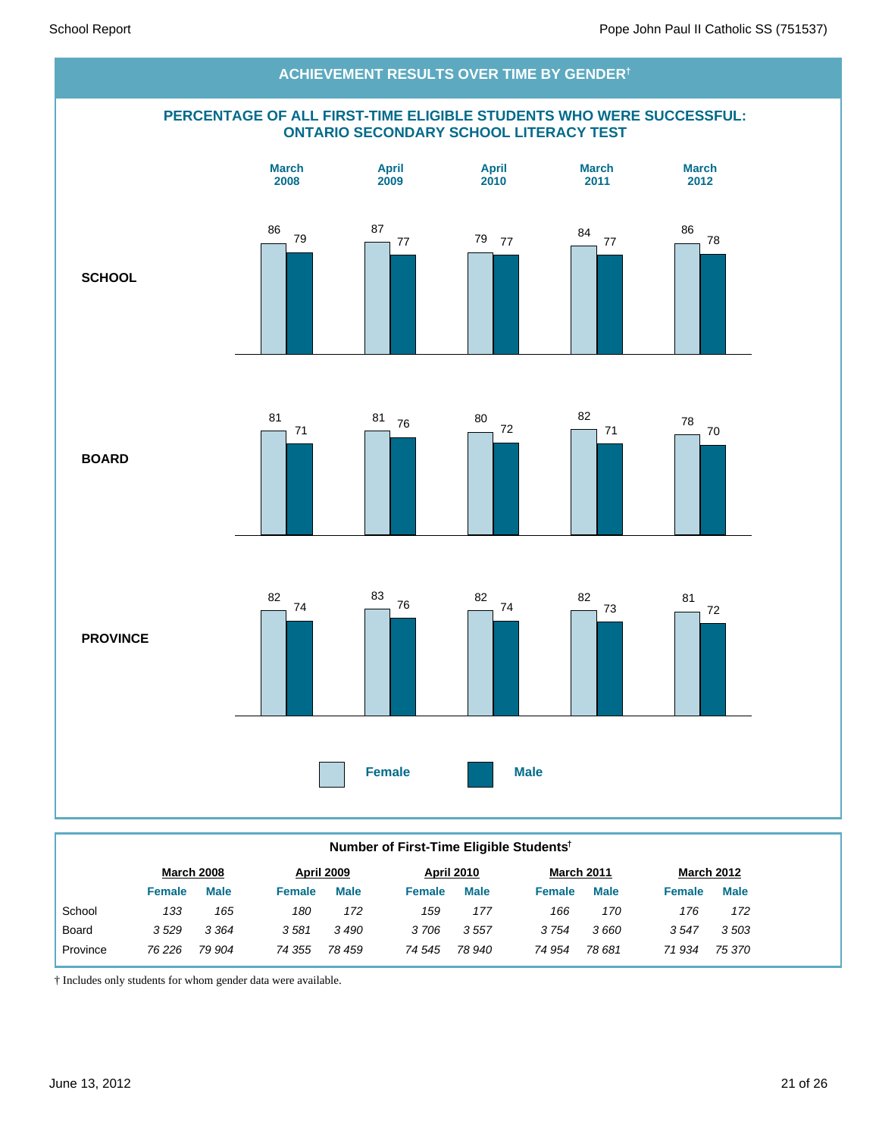

#### **Number of First-Time Eligible Students†**

|          |        | <b>March 2008</b> |               | <b>April 2009</b> |               | <b>April 2010</b> | March 2011    |             |        | <b>March 2012</b> |
|----------|--------|-------------------|---------------|-------------------|---------------|-------------------|---------------|-------------|--------|-------------------|
|          | Female | <b>Male</b>       | <b>Female</b> | <b>Male</b>       | <b>Female</b> | <b>Male</b>       | <b>Female</b> | <b>Male</b> | Female | <b>Male</b>       |
| School   | 133    | 165               | 180           | 172               | 159           | 177               | 166           | 170         | 176    | 172               |
| Board    | 3529   | 3 3 6 4           | 3581          | 3 490             | 3706          | 3557              | 3754          | 3660        | 3547   | 3503              |
| Province | 76 226 | 79 904            | 74 355        | 78 459            | 74 545        | 78 940            | 74 954        | 78 681      | 71934  | 75 370            |
|          |        |                   |               |                   |               |                   |               |             |        |                   |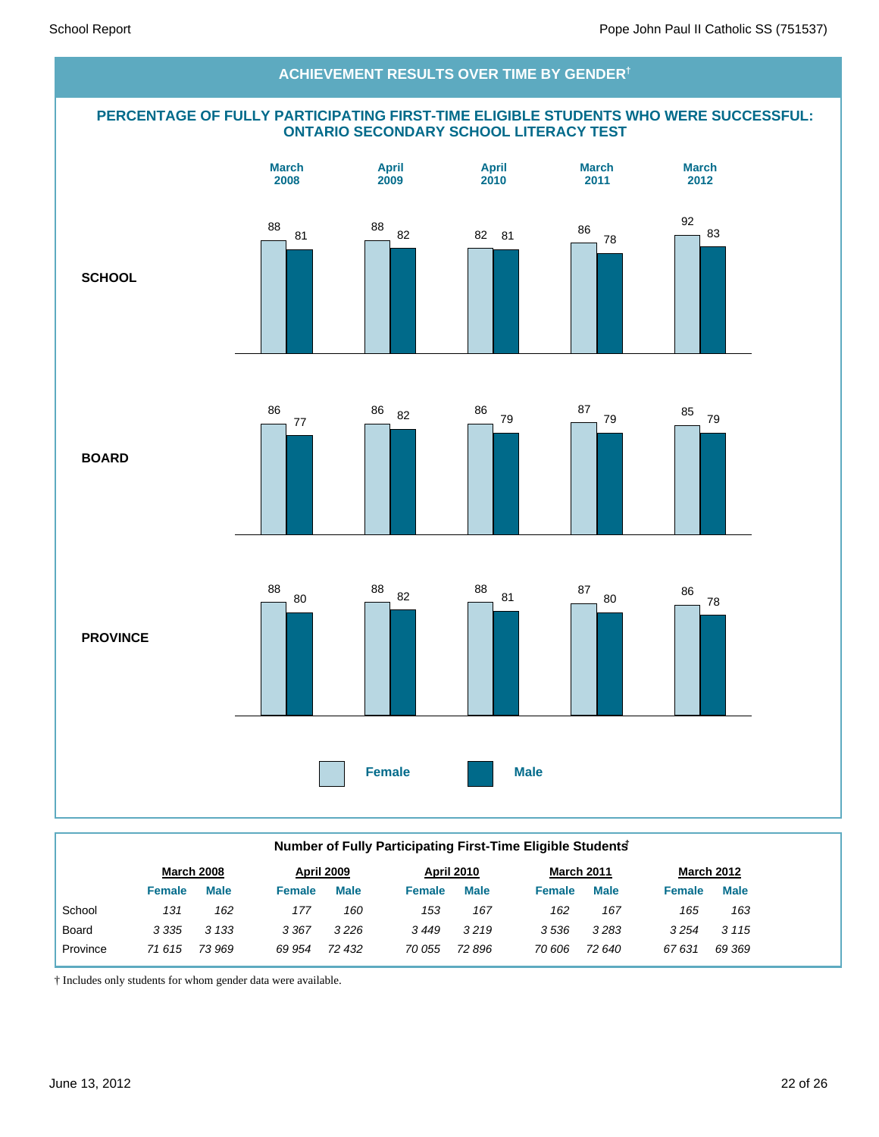#### **PERCENTAGE OF FULLY PARTICIPATING FIRST-TIME ELIGIBLE STUDENTS WHO WERE SUCCESSFUL: ONTARIO SECONDARY SCHOOL LITERACY TEST SCHOOL BOARD PROVINCE Female Male March 2008 April 2009 April 2010 March 2011 March 2012 ACHIEVEMENT RESULTS OVER TIME BY GENDER†** 88 81 88 82 82 81 86 78 92 83 86 77 86 82 86 79 87 <sup>79</sup> <sup>85</sup> <sup>79</sup> 88 80 88 82 88 81 87 <sup>80</sup> <sup>86</sup> 78

| Number of Fully Participating First-Time Eligible Students |               |                   |               |                   |               |                   |               |                   |               |                   |  |
|------------------------------------------------------------|---------------|-------------------|---------------|-------------------|---------------|-------------------|---------------|-------------------|---------------|-------------------|--|
|                                                            |               | <b>March 2008</b> |               | <b>April 2009</b> |               | <b>April 2010</b> |               | <b>March 2011</b> |               | <b>March 2012</b> |  |
|                                                            | <b>Female</b> | <b>Male</b>       | <b>Female</b> | <b>Male</b>       | <b>Female</b> | <b>Male</b>       | <b>Female</b> | <b>Male</b>       | <b>Female</b> | <b>Male</b>       |  |
| School                                                     | 131           | 162               | 177           | 160               | 153           | 167               | 162           | 167               | 165           | 163               |  |
| Board                                                      | 3 3 3 5       | 3 1 3 3           | 3 3 6 7       | 3226              | 3449          | 3219              | 3536          | 3283              | 3254          | 3 1 1 5           |  |
| Province                                                   | 71 615        | 73 969            | 69 954        | 72 432            | 70 055        | 72 896            | 70 606        | 72 640            | 67631         | 69 369            |  |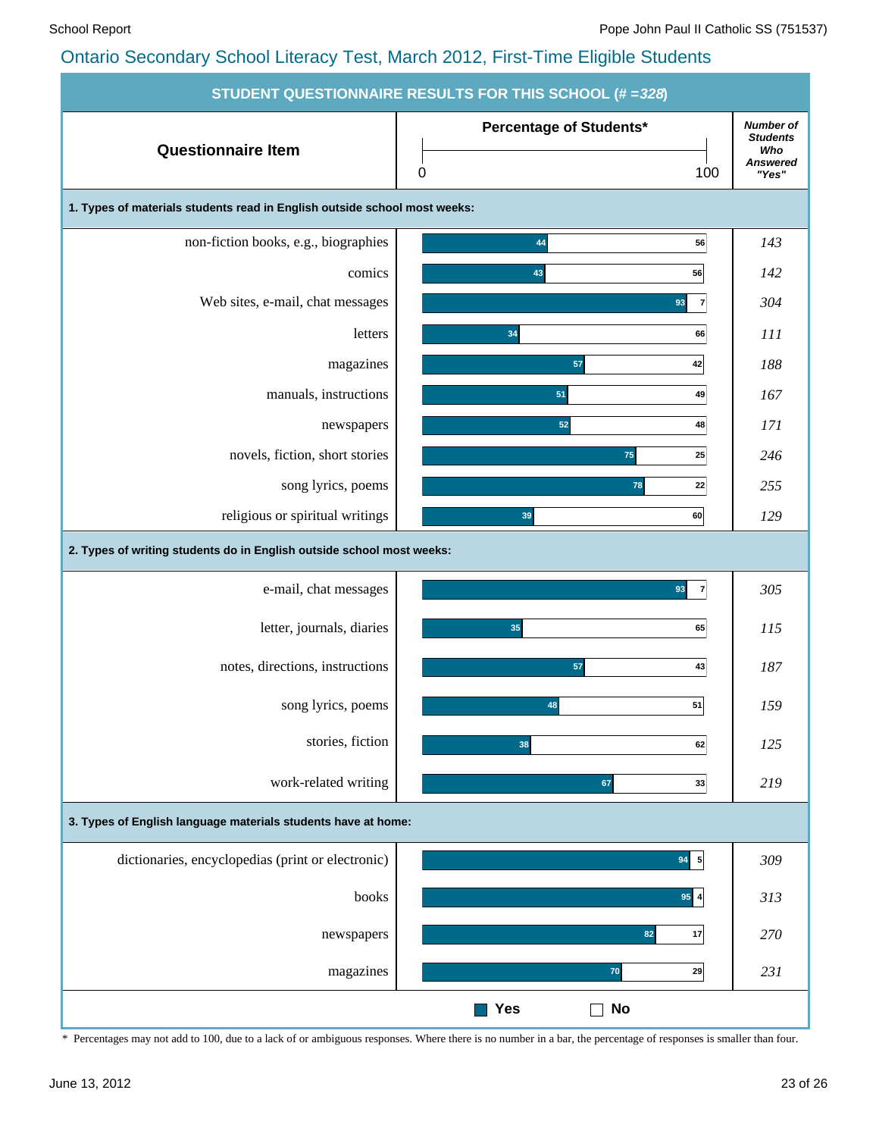|                                                                           | <b>STUDENT QUESTIONNAIRE RESULTS FOR THIS SCHOOL (# = 328)</b> |                                                                        |
|---------------------------------------------------------------------------|----------------------------------------------------------------|------------------------------------------------------------------------|
| <b>Questionnaire Item</b>                                                 | Percentage of Students*<br>100<br>$\pmb{0}$                    | <b>Number of</b><br><b>Students</b><br>Who<br><b>Answered</b><br>"Yes" |
| 1. Types of materials students read in English outside school most weeks: |                                                                |                                                                        |
| non-fiction books, e.g., biographies                                      | 44<br>56                                                       | 143                                                                    |
| comics                                                                    | 56<br>43                                                       | 142                                                                    |
| Web sites, e-mail, chat messages                                          | 93<br>$\overline{7}$                                           | 304                                                                    |
| letters                                                                   | 34<br>66                                                       | 111                                                                    |
| magazines                                                                 | 42<br>57                                                       | 188                                                                    |
| manuals, instructions                                                     | 51<br>49                                                       | 167                                                                    |
| newspapers                                                                | 52<br>48                                                       | 171                                                                    |
| novels, fiction, short stories                                            | 75<br>25                                                       | 246                                                                    |
| song lyrics, poems                                                        | 78<br>22                                                       | 255                                                                    |
| religious or spiritual writings                                           | 39<br>60                                                       | 129                                                                    |
| 2. Types of writing students do in English outside school most weeks:     |                                                                |                                                                        |
| e-mail, chat messages                                                     | $\overline{7}$<br>93                                           | 305                                                                    |
| letter, journals, diaries                                                 | 35<br>65                                                       | <i>115</i>                                                             |
| notes, directions, instructions                                           | 57<br>43                                                       | 187                                                                    |
| song lyrics, poems                                                        | 48<br>51                                                       | 159                                                                    |
| stories, fiction                                                          | 38<br>62                                                       | 125                                                                    |
| work-related writing                                                      | 67<br>33                                                       | 219                                                                    |
| 3. Types of English language materials students have at home:             |                                                                |                                                                        |
| dictionaries, encyclopedias (print or electronic)                         | $94 \overline{5}$                                              | 309                                                                    |
| books                                                                     | $95$ 4                                                         | 313                                                                    |
| newspapers                                                                | 82<br>17                                                       | 270                                                                    |
| magazines                                                                 | ${\bf 70}$<br>29                                               | 231                                                                    |
|                                                                           | <b>Yes</b><br><b>No</b>                                        |                                                                        |

\* Percentages may not add to 100, due to a lack of or ambiguous responses. Where there is no number in a bar, the percentage of responses is smaller than four.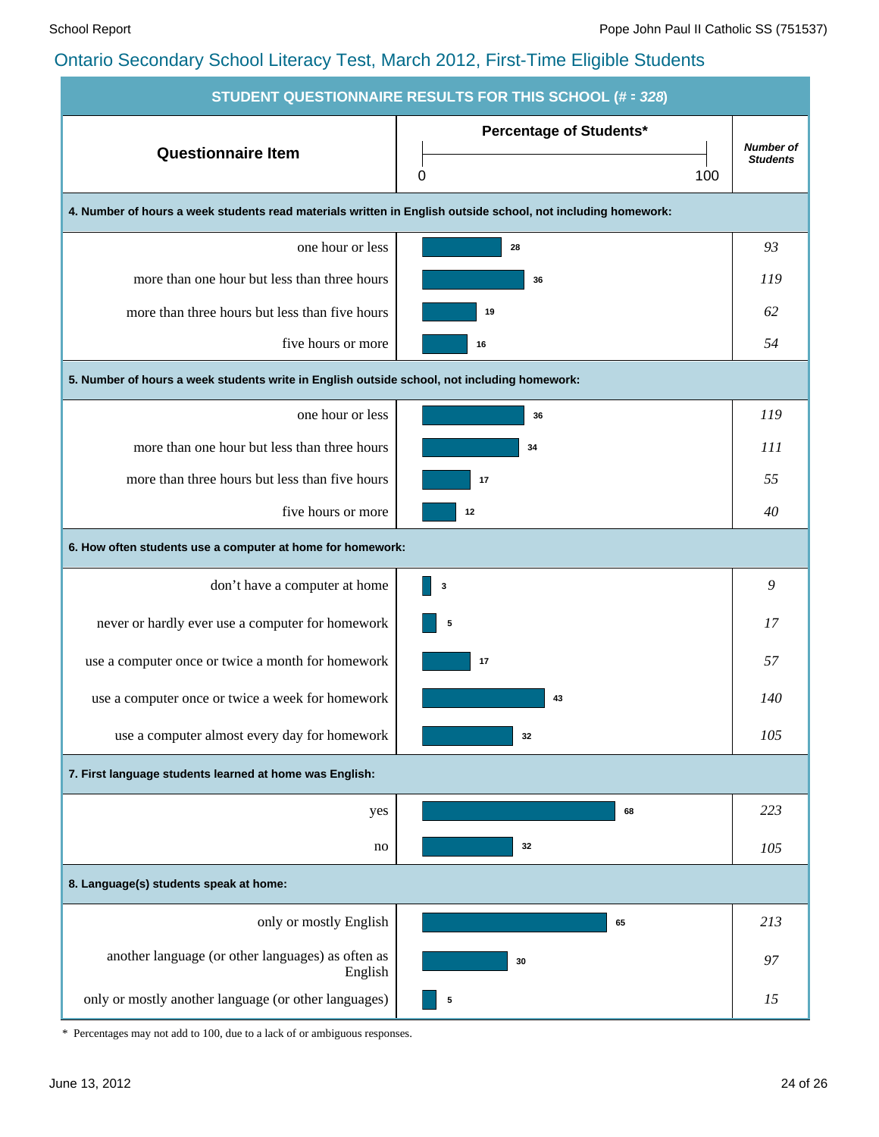| <b>STUDENT QUESTIONNAIRE RESULTS FOR THIS SCHOOL (# = 328)</b>                                               |                                |                                     |  |  |  |  |  |  |  |  |
|--------------------------------------------------------------------------------------------------------------|--------------------------------|-------------------------------------|--|--|--|--|--|--|--|--|
| <b>Questionnaire Item</b>                                                                                    | <b>Percentage of Students*</b> | <b>Number of</b><br><b>Students</b> |  |  |  |  |  |  |  |  |
|                                                                                                              | 100<br>0                       |                                     |  |  |  |  |  |  |  |  |
| 4. Number of hours a week students read materials written in English outside school, not including homework: |                                |                                     |  |  |  |  |  |  |  |  |
| one hour or less                                                                                             | 28                             | 93                                  |  |  |  |  |  |  |  |  |
| more than one hour but less than three hours                                                                 | 36                             | 119                                 |  |  |  |  |  |  |  |  |
| more than three hours but less than five hours                                                               | 19                             | 62                                  |  |  |  |  |  |  |  |  |
| five hours or more                                                                                           | 16                             | 54                                  |  |  |  |  |  |  |  |  |
| 5. Number of hours a week students write in English outside school, not including homework:                  |                                |                                     |  |  |  |  |  |  |  |  |
| one hour or less                                                                                             | 36                             | 119                                 |  |  |  |  |  |  |  |  |
| more than one hour but less than three hours                                                                 | 34                             | 111                                 |  |  |  |  |  |  |  |  |
| more than three hours but less than five hours                                                               | 17                             | 55                                  |  |  |  |  |  |  |  |  |
| five hours or more                                                                                           | 12                             | 40                                  |  |  |  |  |  |  |  |  |
| 6. How often students use a computer at home for homework:                                                   |                                |                                     |  |  |  |  |  |  |  |  |
| don't have a computer at home                                                                                | 3                              | 9                                   |  |  |  |  |  |  |  |  |
| never or hardly ever use a computer for homework                                                             | 5                              | 17                                  |  |  |  |  |  |  |  |  |
| use a computer once or twice a month for homework                                                            | 17                             | 57                                  |  |  |  |  |  |  |  |  |
| use a computer once or twice a week for homework                                                             | 43                             | 140                                 |  |  |  |  |  |  |  |  |
| use a computer almost every day for homework                                                                 | 32                             | 105                                 |  |  |  |  |  |  |  |  |
| 7. First language students learned at home was English:                                                      |                                |                                     |  |  |  |  |  |  |  |  |
| yes                                                                                                          | 68                             | 223                                 |  |  |  |  |  |  |  |  |
| no                                                                                                           | 32                             | 105                                 |  |  |  |  |  |  |  |  |
| 8. Language(s) students speak at home:                                                                       |                                |                                     |  |  |  |  |  |  |  |  |
| only or mostly English                                                                                       | 65                             | 213                                 |  |  |  |  |  |  |  |  |
| another language (or other languages) as often as<br>English                                                 | 30                             | 97                                  |  |  |  |  |  |  |  |  |
| only or mostly another language (or other languages)                                                         | 5                              | 15                                  |  |  |  |  |  |  |  |  |

\* Percentages may not add to 100, due to a lack of or ambiguous responses.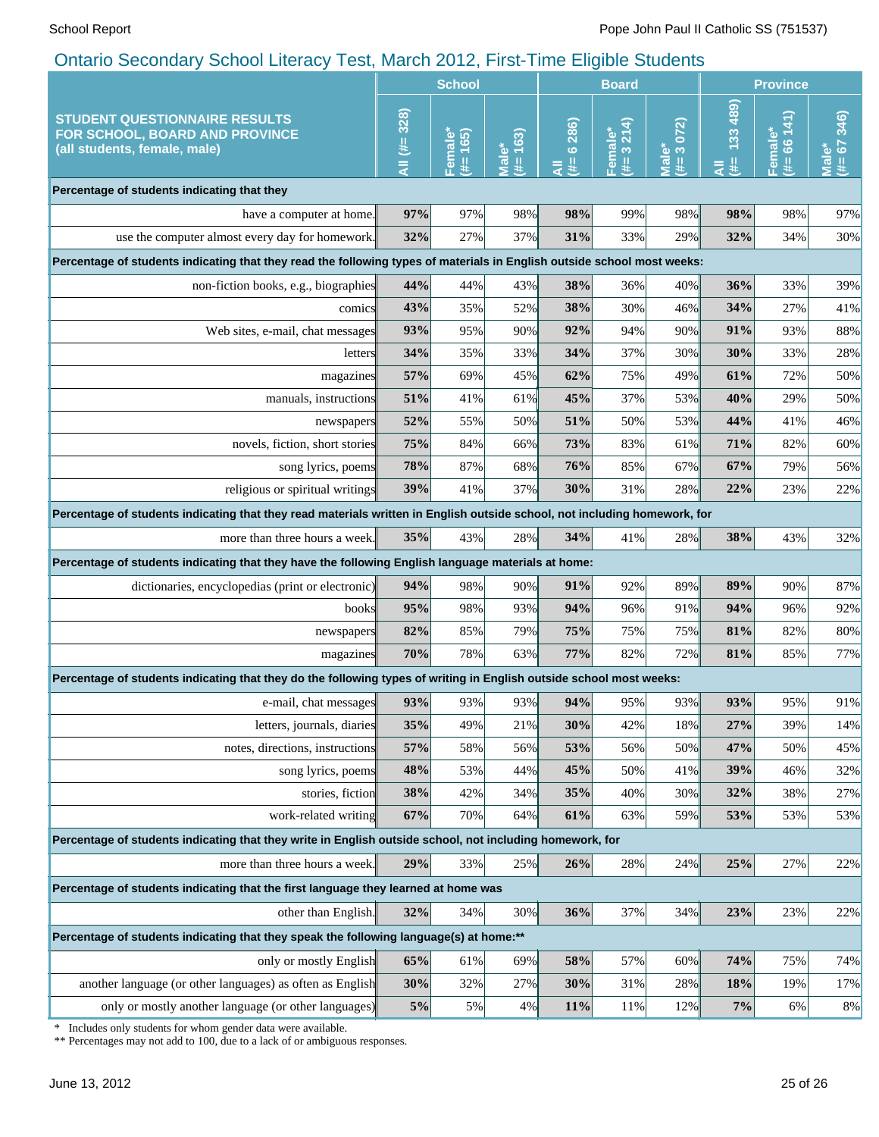|                                                                                                                                            | <b>School</b> |                      |                                           | <b>Board</b>      |                      |                              | <b>Province</b>      |                         |                                    |
|--------------------------------------------------------------------------------------------------------------------------------------------|---------------|----------------------|-------------------------------------------|-------------------|----------------------|------------------------------|----------------------|-------------------------|------------------------------------|
| <b>STUDENT QUESTIONNAIRE RESULTS</b><br>FOR SCHOOL, BOARD AND PROVINCE<br>(all students, female, male)                                     | All (#= 328)  | Female*<br>165)<br>¥ | $163)$<br>Male <sup>*</sup><br>$\ddot{*}$ | 6 286)<br>₩.<br>₹ | 3214<br>Female<br>y. | 072)<br>ి లే<br>le<br>N<br># | 133 489)<br>J₩≣<br>₹ | 66 141)<br>Female*<br>里 | 346)<br>$(# = 67)$<br><b>Male*</b> |
| Percentage of students indicating that they                                                                                                |               |                      |                                           |                   |                      |                              |                      |                         |                                    |
| have a computer at home.                                                                                                                   | 97%           | 97%                  | 98%                                       | 98%               | 99%                  | 98%                          | 98%                  | 98%                     | 97%                                |
| use the computer almost every day for homework.                                                                                            | 32%           | 27%                  | 37%                                       | 31%               | 33%                  | 29%                          | 32%                  | 34%                     | 30%                                |
| Percentage of students indicating that they read the following types of materials in English outside school most weeks:                    |               |                      |                                           |                   |                      |                              |                      |                         |                                    |
| non-fiction books, e.g., biographies                                                                                                       | 44%           | 44%                  | 43%                                       | 38%               | 36%                  | 40%                          | 36%                  | 33%                     | 39%                                |
| comics                                                                                                                                     | 43%           | 35%                  | 52%                                       | 38%               | 30%                  | 46%                          | 34%                  | 27%                     | 41%                                |
| Web sites, e-mail, chat messages                                                                                                           | 93%           | 95%                  | 90%                                       | 92%               | 94%                  | 90%                          | 91%                  | 93%                     | 88%                                |
| letters                                                                                                                                    | 34%           | 35%                  | 33%                                       | 34%               | 37%                  | 30%                          | 30%                  | 33%                     | 28%                                |
| magazines                                                                                                                                  | 57%           | 69%                  | 45%                                       | 62%               | 75%                  | 49%                          | 61%                  | 72%                     | 50%                                |
| manuals, instructions                                                                                                                      | 51%           | 41%                  | 61%                                       | 45%               | 37%                  | 53%                          | 40%                  | 29%                     | 50%                                |
| newspapers                                                                                                                                 | 52%           | 55%                  | 50%                                       | 51%               | 50%                  | 53%                          | 44%                  | 41%                     | 46%                                |
| novels, fiction, short stories                                                                                                             | 75%           | 84%                  | 66%                                       | 73%               | 83%                  | 61%                          | 71%                  | 82%                     | 60%                                |
| song lyrics, poems                                                                                                                         | 78%           | 87%                  | 68%                                       | 76%               | 85%                  | 67%                          | 67%                  | 79%                     | 56%                                |
| religious or spiritual writings                                                                                                            | 39%           | 41%                  | 37%                                       | 30%               | 31%                  | 28%                          | 22%                  | 23%                     | 22%                                |
| Percentage of students indicating that they read materials written in English outside school, not including homework, for                  |               |                      |                                           |                   |                      |                              |                      |                         |                                    |
| more than three hours a week.                                                                                                              | 35%           | 43%                  | 28%                                       | 34%               | 41%                  | 28%                          | 38%                  | 43%                     | 32%                                |
| Percentage of students indicating that they have the following English language materials at home:                                         |               |                      |                                           |                   |                      |                              |                      |                         |                                    |
| dictionaries, encyclopedias (print or electronic)                                                                                          | 94%           | 98%                  | 90%                                       | 91%               | 92%                  | 89%                          | 89%                  | 90%                     | 87%                                |
| books                                                                                                                                      | 95%           | 98%                  | 93%                                       | 94%               | 96%                  | 91%                          | 94%                  | 96%                     | 92%                                |
| newspapers                                                                                                                                 | 82%           | 85%                  | 79%                                       | 75%               | 75%                  | 75%                          | 81%                  | 82%                     | 80%                                |
| magazines                                                                                                                                  | 70%           | 78%                  | 63%                                       | 77%               | 82%                  | 72%                          | 81%                  | 85%                     | 77%                                |
| Percentage of students indicating that they do the following types of writing in English outside school most weeks:                        |               |                      |                                           |                   |                      |                              |                      |                         |                                    |
| e-mail, chat messages                                                                                                                      | 93%           | 93%                  | 93%                                       | 94%               | 95%                  | 93%                          | 93%                  | 95%                     | 91%                                |
| letters, journals, diaries                                                                                                                 | 35%           | 49%                  | 21%                                       | 30%               | 42%                  | 18%                          | 27%                  | 39%                     | 14%                                |
| notes, directions, instructions                                                                                                            | 57%           | 58%                  | 56%                                       | 53%               | 56%                  | 50%                          | 47%                  | 50%                     | 45%                                |
| song lyrics, poems                                                                                                                         | 48%           | 53%                  | 44%                                       | 45%               | 50%                  | 41%                          | 39%                  | 46%                     | 32%                                |
| stories, fiction                                                                                                                           | 38%           | 42%                  | 34%                                       | 35%               | 40%                  | 30%                          | 32%                  | 38%                     | 27%                                |
| work-related writing                                                                                                                       | 67%           | 70%                  | 64%                                       | 61%               | 63%                  | 59%                          | 53%                  | 53%                     | 53%                                |
| Percentage of students indicating that they write in English outside school, not including homework, for                                   |               |                      |                                           |                   |                      |                              |                      |                         |                                    |
| more than three hours a week.                                                                                                              | 29%           | 33%                  | 25%                                       | 26%               | 28%                  | 24%                          | 25%                  | 27%                     | 22%                                |
| Percentage of students indicating that the first language they learned at home was                                                         |               |                      |                                           |                   |                      |                              |                      |                         |                                    |
| other than English.                                                                                                                        | 32%           | 34%                  | $30\%$                                    | 36%               | 37%                  | 34%                          | 23%                  | 23%                     | 22%                                |
| Percentage of students indicating that they speak the following language(s) at home:**                                                     |               |                      |                                           |                   |                      |                              |                      |                         |                                    |
| only or mostly English                                                                                                                     | 65%           | 61%                  | 69%                                       | 58%               | 57%                  | 60%                          | 74%                  | 75%                     | 74%                                |
| another language (or other languages) as often as English                                                                                  | 30%           | 32%                  | 27%                                       | 30%               | 31%                  | 28%                          | 18%                  | 19%                     | 17%                                |
| only or mostly another language (or other languages)                                                                                       | 5%            | 5%                   | $4\%$                                     | 11%               | 11%                  | 12%                          | $7\%$                | 6%                      | 8%                                 |
| Includes only students for whom gender data were available.<br>** Percentages may not add to 100, due to a lack of or ambiguous responses. |               |                      |                                           |                   |                      |                              |                      |                         |                                    |